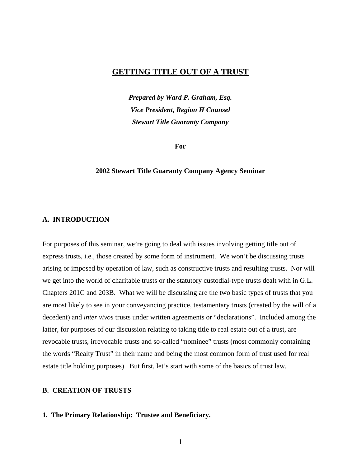# **GETTING TITLE OUT OF A TRUST**

*Prepared by Ward P. Graham, Esq. Vice President, Region H Counsel Stewart Title Guaranty Company* 

**For** 

### **2002 Stewart Title Guaranty Company Agency Seminar**

#### **A. INTRODUCTION**

For purposes of this seminar, we're going to deal with issues involving getting title out of express trusts, i.e., those created by some form of instrument. We won't be discussing trusts arising or imposed by operation of law, such as constructive trusts and resulting trusts. Nor will we get into the world of charitable trusts or the statutory custodial-type trusts dealt with in G.L. Chapters 201C and 203B. What we will be discussing are the two basic types of trusts that you are most likely to see in your conveyancing practice, testamentary trusts (created by the will of a decedent) and *inter vivos* trusts under written agreements or "declarations". Included among the latter, for purposes of our discussion relating to taking title to real estate out of a trust, are revocable trusts, irrevocable trusts and so-called "nominee" trusts (most commonly containing the words "Realty Trust" in their name and being the most common form of trust used for real estate title holding purposes). But first, let's start with some of the basics of trust law.

# **B. CREATION OF TRUSTS**

### **1. The Primary Relationship: Trustee and Beneficiary.**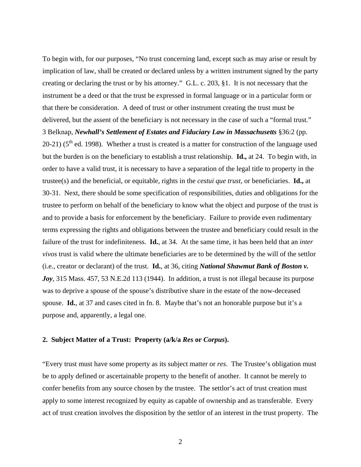To begin with, for our purposes, "No trust concerning land, except such as may arise or result by implication of law, shall be created or declared unless by a written instrument signed by the party creating or declaring the trust or by his attorney." G.L. c. 203, §1. It is not necessary that the instrument be a deed or that the trust be expressed in formal language or in a particular form or that there be consideration. A deed of trust or other instrument creating the trust must be delivered, but the assent of the beneficiary is not necessary in the case of such a "formal trust." 3 Belknap, *Newhall's Settlement of Estates and Fiduciary Law in Massachusetts* §36:2 (pp. 20-21) ( $5<sup>th</sup>$  ed. 1998). Whether a trust is created is a matter for construction of the language used but the burden is on the beneficiary to establish a trust relationship. **Id.,** at 24. To begin with, in order to have a valid trust, it is necessary to have a separation of the legal title to property in the trustee(s) and the beneficial, or equitable, rights in the *cestui que trust,* or beneficiaries. **Id.,** at 30-31. Next, there should be some specification of responsibilities, duties and obligations for the trustee to perform on behalf of the beneficiary to know what the object and purpose of the trust is and to provide a basis for enforcement by the beneficiary. Failure to provide even rudimentary terms expressing the rights and obligations between the trustee and beneficiary could result in the failure of the trust for indefiniteness. **Id.**, at 34. At the same time, it has been held that an *inter vivos* trust is valid where the ultimate beneficiaries are to be determined by the will of the settlor (i.e., creator or declarant) of the trust. **Id.**, at 36, citing *National Shawmut Bank of Boston v. Joy*, 315 Mass. 457, 53 N.E.2d 113 (1944). In addition, a trust is not illegal because its purpose was to deprive a spouse of the spouse's distributive share in the estate of the now-deceased spouse. **Id.**, at 37 and cases cited in fn. 8. Maybe that's not an honorable purpose but it's a purpose and, apparently, a legal one.

### **2. Subject Matter of a Trust: Property (a/k/a** *Res* **or** *Corpus***).**

"Every trust must have some property as its subject matter or *res*. The Trustee's obligation must be to apply defined or ascertainable property to the benefit of another. It cannot be merely to confer benefits from any source chosen by the trustee. The settlor's act of trust creation must apply to some interest recognized by equity as capable of ownership and as transferable. Every act of trust creation involves the disposition by the settlor of an interest in the trust property. The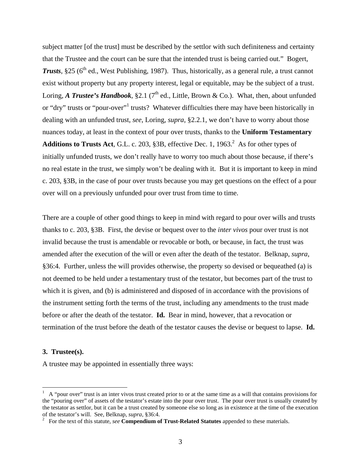subject matter [of the trust] must be described by the settlor with such definiteness and certainty that the Trustee and the court can be sure that the intended trust is being carried out." Bogert, **Trusts**,  $\S 25$  ( $6<sup>th</sup>$  ed., West Publishing, 1987). Thus, historically, as a general rule, a trust cannot exist without property but any property interest, legal or equitable, may be the subject of a trust. Loring, *A Trustee's Handbook*, §2.1 (7<sup>th</sup> ed., Little, Brown & Co.). What, then, about unfunded or "dry" trusts or "pour-over"<sup>[1](#page-2-0)</sup> trusts? Whatever difficulties there may have been historically in dealing with an unfunded trust, *see*, Loring, *supra*, §2.2.1, we don't have to worry about those nuances today, at least in the context of pour over trusts, thanks to the **Uniform Testamentary**  Additions to Trusts Act, G.L. c. 203,  $§$ 3B, effective Dec. 1, 1963.<sup>2</sup> As for other types of initially unfunded trusts, we don't really have to worry too much about those because, if there's no real estate in the trust, we simply won't be dealing with it. But it is important to keep in mind c. 203, §3B, in the case of pour over trusts because you may get questions on the effect of a pour over will on a previously unfunded pour over trust from time to time.

There are a couple of other good things to keep in mind with regard to pour over wills and trusts thanks to c. 203, §3B. First, the devise or bequest over to the *inter vivos* pour over trust is not invalid because the trust is amendable or revocable or both, or because, in fact, the trust was amended after the execution of the will or even after the death of the testator. Belknap, *supra*, §36:4. Further, unless the will provides otherwise, the property so devised or bequeathed (a) is not deemed to be held under a testamentary trust of the testator, but becomes part of the trust to which it is given, and (b) is administered and disposed of in accordance with the provisions of the instrument setting forth the terms of the trust, including any amendments to the trust made before or after the death of the testator. **Id.** Bear in mind, however, that a revocation or termination of the trust before the death of the testator causes the devise or bequest to lapse. **Id.**

#### **3. Trustee(s).**

 $\overline{a}$ 

A trustee may be appointed in essentially three ways:

<span id="page-2-0"></span> $<sup>1</sup>$  A "pour over" trust is an inter vivos trust created prior to or at the same time as a will that contains provisions for</sup> the "pouring over" of assets of the testator's estate into the pour over trust. The pour over trust is usually created by the testator as settlor, but it can be a trust created by someone else so long as in existence at the time of the execution of the testator's will. See, Belknap, *supra*, §36:4. 2

<span id="page-2-1"></span>For the text of this statute, *see* **Compendium of Trust-Related Statutes** appended to these materials.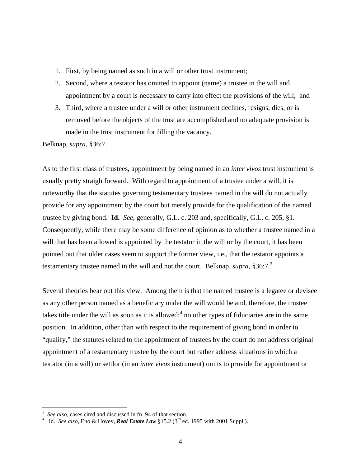- 1. First, by being named as such in a will or other trust instrument;
- 2. Second, where a testator has omitted to appoint (name) a trustee in the will and appointment by a court is necessary to carry into effect the provisions of the will; and
- 3. Third, where a trustee under a will or other instrument declines, resigns, dies, or is removed before the objects of the trust are accomplished and no adequate provision is made in the trust instrument for filling the vacancy.

Belknap, *supra*, §36:7.

As to the first class of trustees, appointment by being named in an *inter vivos* trust instrument is usually pretty straightforward. With regard to appointment of a trustee under a will, it is noteworthy that the statutes governing testamentary trustees named in the will do not actually provide for any appointment by the court but merely provide for the qualification of the named trustee by giving bond. **Id.** *See*, generally, G.L. c. 203 and, specifically, G.L. c. 205, §1. Consequently, while there may be some difference of opinion as to whether a trustee named in a will that has been allowed is appointed by the testator in the will or by the court, it has been pointed out that older cases seem to support the former view, i.e., that the testator appoints a testamentary trustee named in the will and not the court. Belknap, *supra*, §36:7.<sup>3</sup>

Several theories bear out this view. Among them is that the named trustee is a legatee or devisee as any other person named as a beneficiary under the will would be and, therefore, the trustee takes title under the will as soon as it is allowed;<sup>[4](#page-3-1)</sup> no other types of fiduciaries are in the same position. In addition, other than with respect to the requirement of giving bond in order to "qualify," the statutes related to the appointment of trustees by the court do not address original appointment of a testamentary trustee by the court but rather address situations in which a testator (in a will) or settlor (in an *inter vivos* instrument) omits to provide for appointment or

 $\overline{a}$ 

<span id="page-3-0"></span><sup>3</sup> See also, cases cited and discussed in fn. 94 of that section.

<span id="page-3-1"></span>Id. *See also*, Eno & Hovey, *Real Estate Law* §15.2 (3rd ed. 1995 with 2001 Suppl.).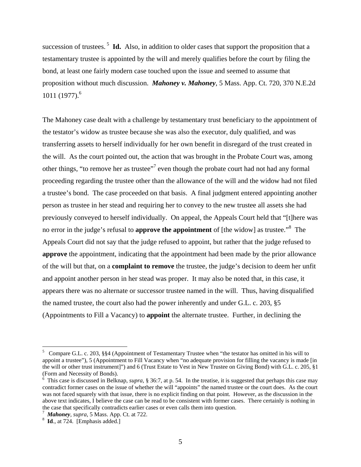succession of trustees.<sup>5</sup> **Id.** Also, in addition to older cases that support the proposition that a testamentary trustee is appointed by the will and merely qualifies before the court by filing the bond, at least one fairly modern case touched upon the issue and seemed to assume that proposition without much discussion. *Mahoney v. Mahoney*, 5 Mass. App. Ct. 720, 370 N.E.2d 1011 (1977)[.6](#page-4-1)

The Mahoney case dealt with a challenge by testamentary trust beneficiary to the appointment of the testator's widow as trustee because she was also the executor, duly qualified, and was transferring assets to herself individually for her own benefit in disregard of the trust created in the will. As the court pointed out, the action that was brought in the Probate Court was, among other things, "to remove her as trustee"<sup>7</sup> even though the probate court had not had any formal proceeding regarding the trustee other than the allowance of the will and the widow had not filed a trustee's bond. The case proceeded on that basis. A final judgment entered appointing another person as trustee in her stead and requiring her to convey to the new trustee all assets she had previously conveyed to herself individually. On appeal, the Appeals Court held that "[t]here was no error in the judge's refusal to **approve the appointment** of [the widow] as trustee."[8](#page-4-3) The Appeals Court did not say that the judge refused to appoint, but rather that the judge refused to **approve** the appointment, indicating that the appointment had been made by the prior allowance of the will but that, on a **complaint to remove** the trustee, the judge's decision to deem her unfit and appoint another person in her stead was proper. It may also be noted that, in this case, it appears there was no alternate or successor trustee named in the will. Thus, having disqualified the named trustee, the court also had the power inherently and under G.L. c. 203, §5 (Appointments to Fill a Vacancy) to **appoint** the alternate trustee. Further, in declining the

<span id="page-4-0"></span><sup>&</sup>lt;sup>5</sup> Compare G.L. c. 203, §§4 (Appointment of Testamentary Trustee when "the testator has omitted in his will to appoint a trustee"), 5 (Appointment to Fill Vacancy when "no adequate provision for filling the vacancy is made [in the will or other trust instrument]") and 6 (Trust Estate to Vest in New Trustee on Giving Bond) with G.L. c. 205, §1 (Form and Necessity of Bonds).

<span id="page-4-1"></span><sup>&</sup>lt;sup>6</sup> This case is discussed in Belknap, *supra*, § 36:7, at p. 54. In the treatise, it is suggested that perhaps this case may contradict former cases on the issue of whether the will "appoints" the named trustee or the court does. As the court was not faced squarely with that issue, there is no explicit finding on that point. However, as the discussion in the above text indicates, I believe the case can be read to be consistent with former cases. There certainly is nothing in the case that specifically contradicts earlier cases or even calls them into question. 7

<span id="page-4-2"></span>*Mahoney*, *supra*, 5 Mass. App. Ct. at 722. 8

<span id="page-4-3"></span><sup>&</sup>lt;sup>8</sup> **Id.**, at 724. [Emphasis added.]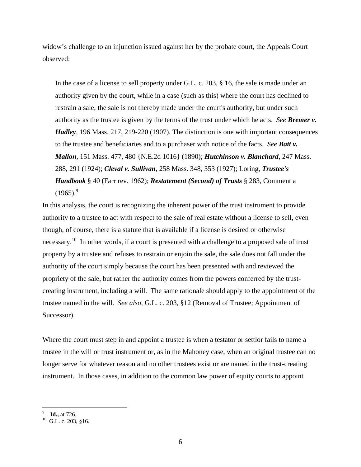widow's challenge to an injunction issued against her by the probate court, the Appeals Court observed:

In the case of a license to sell property under G.L. c. 203, § 16, the sale is made under an authority given by the court, while in a case (such as this) where the court has declined to restrain a sale, the sale is not thereby made under the court's authority, but under such authority as the trustee is given by the terms of the trust under which he acts. *See Bremer v. Hadley*, 196 Mass. 217, 219-220 (1907). The distinction is one with important consequences to the trustee and beneficiaries and to a purchaser with notice of the facts. *See Batt v. Mallon*, 151 Mass. 477, 480 {N.E.2d 1016} (1890); *Hutchinson v. Blanchard*, 247 Mass. 288, 291 (1924); *Cleval v. Sullivan*, 258 Mass. 348, 353 (1927); Loring, *Trustee's Handbook* § 40 (Farr rev. 1962); *Restatement (Second) of Trusts* § 283, Comment a  $(1965)^9$  $(1965)^9$  $(1965)^9$ 

In this analysis, the court is recognizing the inherent power of the trust instrument to provide authority to a trustee to act with respect to the sale of real estate without a license to sell, even though, of course, there is a statute that is available if a license is desired or otherwise necessary.<sup>10</sup> In other words, if a court is presented with a challenge to a proposed sale of trust property by a trustee and refuses to restrain or enjoin the sale, the sale does not fall under the authority of the court simply because the court has been presented with and reviewed the propriety of the sale, but rather the authority comes from the powers conferred by the trustcreating instrument, including a will. The same rationale should apply to the appointment of the trustee named in the will. *See also*, G.L. c. 203, §12 (Removal of Trustee; Appointment of Successor).

Where the court must step in and appoint a trustee is when a testator or settlor fails to name a trustee in the will or trust instrument or, as in the Mahoney case, when an original trustee can no longer serve for whatever reason and no other trustees exist or are named in the trust-creating instrument. In those cases, in addition to the common law power of equity courts to appoint

<span id="page-5-1"></span><span id="page-5-0"></span><sup>9</sup>

<sup>&</sup>lt;sup>9</sup> **Id.,** at 726.<br><sup>10</sup> G.L. c. 203, §16.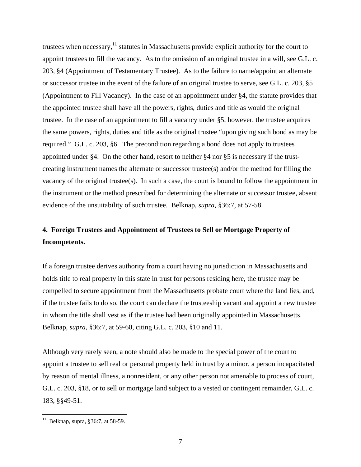trustees when necessary, $11$  statutes in Massachusetts provide explicit authority for the court to appoint trustees to fill the vacancy. As to the omission of an original trustee in a will, see G.L. c. 203, §4 (Appointment of Testamentary Trustee). As to the failure to name/appoint an alternate or successor trustee in the event of the failure of an original trustee to serve, see G.L. c. 203, §5 (Appointment to Fill Vacancy). In the case of an appointment under §4, the statute provides that the appointed trustee shall have all the powers, rights, duties and title as would the original trustee. In the case of an appointment to fill a vacancy under §5, however, the trustee acquires the same powers, rights, duties and title as the original trustee "upon giving such bond as may be required." G.L. c. 203, §6. The precondition regarding a bond does not apply to trustees appointed under §4. On the other hand, resort to neither §4 nor §5 is necessary if the trustcreating instrument names the alternate or successor trustee(s) and/or the method for filling the vacancy of the original trustee(s). In such a case, the court is bound to follow the appointment in the instrument or the method prescribed for determining the alternate or successor trustee, absent evidence of the unsuitability of such trustee. Belknap, *supra*, §36:7, at 57-58.

# **4. Foreign Trustees and Appointment of Trustees to Sell or Mortgage Property of Incompetents.**

If a foreign trustee derives authority from a court having no jurisdiction in Massachusetts and holds title to real property in this state in trust for persons residing here, the trustee may be compelled to secure appointment from the Massachusetts probate court where the land lies, and, if the trustee fails to do so, the court can declare the trusteeship vacant and appoint a new trustee in whom the title shall vest as if the trustee had been originally appointed in Massachusetts. Belknap, *supra*, §36:7, at 59-60, citing G.L. c. 203, §10 and 11.

Although very rarely seen, a note should also be made to the special power of the court to appoint a trustee to sell real or personal property held in trust by a minor, a person incapacitated by reason of mental illness, a nonresident, or any other person not amenable to process of court, G.L. c. 203, §18, or to sell or mortgage land subject to a vested or contingent remainder, G.L. c. 183, §§49-51.

 $\overline{a}$ 

<span id="page-6-0"></span><sup>&</sup>lt;sup>11</sup> Belknap, supra, §36:7, at 58-59.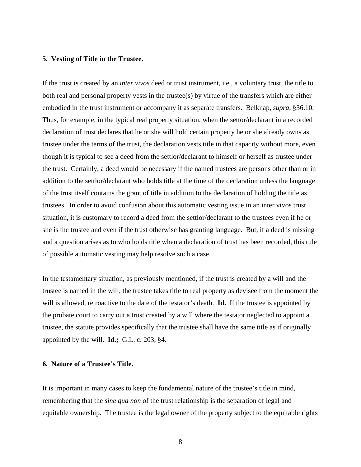### **5. Vesting of Title in the Trustee.**

If the trust is created by an *inter vivos* deed or trust instrument, i.e., a voluntary trust, the title to both real and personal property vests in the trustee(s) by virtue of the transfers which are either embodied in the trust instrument or accompany it as separate transfers. Belknap, *supra*, §36.10. Thus, for example, in the typical real property situation, when the settor/declarant in a recorded declaration of trust declares that he or she will hold certain property he or she already owns as trustee under the terms of the trust, the declaration vests title in that capacity without more, even though it is typical to see a deed from the settlor/declarant to himself or herself as trustee under the trust. Certainly, a deed would be necessary if the named trustees are persons other than or in addition to the settlor/declarant who holds title at the time of the declaration unless the language of the trust itself contains the grant of title in addition to the declaration of holding the title as trustees. In order to avoid confusion about this automatic vesting issue in an inter vivos trust situation, it is customary to record a deed from the settlor/declarant to the trustees even if he or she is the trustee and even if the trust otherwise has granting language. But, if a deed is missing and a question arises as to who holds title when a declaration of trust has been recorded, this rule of possible automatic vesting may help resolve such a case.

In the testamentary situation, as previously mentioned, if the trust is created by a will and the trustee is named in the will, the trustee takes title to real property as devisee from the moment the will is allowed, retroactive to the date of the testator's death. **Id.** If the trustee is appointed by the probate court to carry out a trust created by a will where the testator neglected to appoint a trustee, the statute provides specifically that the trustee shall have the same title as if originally appointed by the will. **Id.;** G.L. c. 203, §4.

## **6. Nature of a Trustee's Title.**

It is important in many cases to keep the fundamental nature of the trustee's title in mind, remembering that the *sine qua non* of the trust relationship is the separation of legal and equitable ownership. The trustee is the legal owner of the property subject to the equitable rights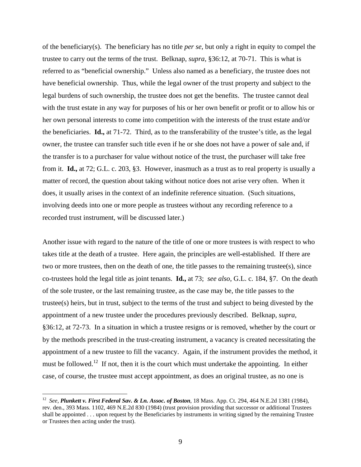of the beneficiary(s). The beneficiary has no title *per se*, but only a right in equity to compel the trustee to carry out the terms of the trust. Belknap, *supra*, §36:12, at 70-71. This is what is referred to as "beneficial ownership." Unless also named as a beneficiary, the trustee does not have beneficial ownership. Thus, while the legal owner of the trust property and subject to the legal burdens of such ownership, the trustee does not get the benefits. The trustee cannot deal with the trust estate in any way for purposes of his or her own benefit or profit or to allow his or her own personal interests to come into competition with the interests of the trust estate and/or the beneficiaries. **Id.,** at 71-72. Third, as to the transferability of the trustee's title, as the legal owner, the trustee can transfer such title even if he or she does not have a power of sale and, if the transfer is to a purchaser for value without notice of the trust, the purchaser will take free from it. **Id.,** at 72; G.L. c. 203, §3. However, inasmuch as a trust as to real property is usually a matter of record, the question about taking without notice does not arise very often. When it does, it usually arises in the context of an indefinite reference situation. (Such situations, involving deeds into one or more people as trustees without any recording reference to a recorded trust instrument, will be discussed later.)

Another issue with regard to the nature of the title of one or more trustees is with respect to who takes title at the death of a trustee. Here again, the principles are well-established. If there are two or more trustees, then on the death of one, the title passes to the remaining trustee(s), since co-trustees hold the legal title as joint tenants. **Id.,** at 73; *see also*, G.L. c. 184, §7. On the death of the sole trustee, or the last remaining trustee, as the case may be, the title passes to the trustee(s) heirs, but in trust, subject to the terms of the trust and subject to being divested by the appointment of a new trustee under the procedures previously described. Belknap, *supra*, §36:12, at 72-73. In a situation in which a trustee resigns or is removed, whether by the court or by the methods prescribed in the trust-creating instrument, a vacancy is created necessitating the appointment of a new trustee to fill the vacancy. Again, if the instrument provides the method, it must be followed.<sup>12</sup> If not, then it is the court which must undertake the appointing. In either case, of course, the trustee must accept appointment, as does an original trustee, as no one is

<u>.</u>

<span id="page-8-0"></span><sup>12</sup> *See, Plunkett v. First Federal Sav. & Ln. Assoc. of Boston*, 18 Mass. App. Ct. 294, 464 N.E.2d 1381 (1984), rev. den., 393 Mass. 1102, 469 N.E.2d 830 (1984) (trust provision providing that successor or additional Trustees shall be appointed . . . upon request by the Beneficiaries by instruments in writing signed by the remaining Trustee or Trustees then acting under the trust).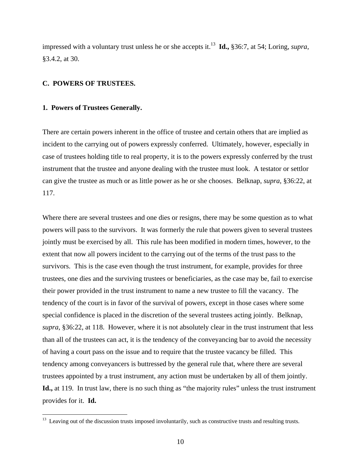impressed with a voluntary trust unless he or she accepts it.<sup>13</sup> **Id.,** §36:7, at 54; Loring, *supra*, §3.4.2, at 30.

### **C. POWERS OF TRUSTEES.**

#### **1. Powers of Trustees Generally.**

 $\overline{a}$ 

There are certain powers inherent in the office of trustee and certain others that are implied as incident to the carrying out of powers expressly conferred. Ultimately, however, especially in case of trustees holding title to real property, it is to the powers expressly conferred by the trust instrument that the trustee and anyone dealing with the trustee must look. A testator or settlor can give the trustee as much or as little power as he or she chooses. Belknap, *supra*, §36:22, at 117.

Where there are several trustees and one dies or resigns, there may be some question as to what powers will pass to the survivors. It was formerly the rule that powers given to several trustees jointly must be exercised by all. This rule has been modified in modern times, however, to the extent that now all powers incident to the carrying out of the terms of the trust pass to the survivors. This is the case even though the trust instrument, for example, provides for three trustees, one dies and the surviving trustees or beneficiaries, as the case may be, fail to exercise their power provided in the trust instrument to name a new trustee to fill the vacancy. The tendency of the court is in favor of the survival of powers, except in those cases where some special confidence is placed in the discretion of the several trustees acting jointly. Belknap, *supra*, §36:22, at 118. However, where it is not absolutely clear in the trust instrument that less than all of the trustees can act, it is the tendency of the conveyancing bar to avoid the necessity of having a court pass on the issue and to require that the trustee vacancy be filled. This tendency among conveyancers is buttressed by the general rule that, where there are several trustees appointed by a trust instrument, any action must be undertaken by all of them jointly. **Id.,** at 119. In trust law, there is no such thing as "the majority rules" unless the trust instrument provides for it. **Id.**

<span id="page-9-0"></span> $13$  Leaving out of the discussion trusts imposed involuntarily, such as constructive trusts and resulting trusts.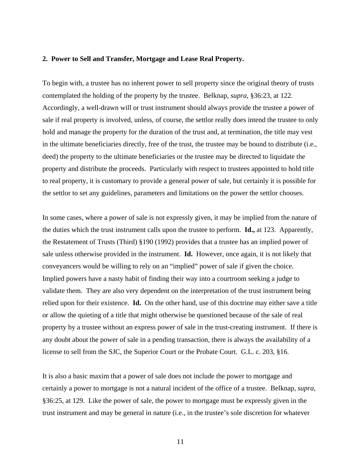#### **2. Power to Sell and Transfer, Mortgage and Lease Real Property.**

To begin with, a trustee has no inherent power to sell property since the original theory of trusts contemplated the holding of the property by the trustee. Belknap, *supra*, §36:23, at 122. Accordingly, a well-drawn will or trust instrument should always provide the trustee a power of sale if real property is involved, unless, of course, the settlor really does intend the trustee to only hold and manage the property for the duration of the trust and, at termination, the title may vest in the ultimate beneficiaries directly, free of the trust, the trustee may be bound to distribute (i.e., deed) the property to the ultimate beneficiaries or the trustee may be directed to liquidate the property and distribute the proceeds. Particularly with respect to trustees appointed to hold title to real property, it is customary to provide a general power of sale, but certainly it is possible for the settlor to set any guidelines, parameters and limitations on the power the settlor chooses.

In some cases, where a power of sale is not expressly given, it may be implied from the nature of the duties which the trust instrument calls upon the trustee to perform. **Id.,** at 123. Apparently, the Restatement of Trusts (Third) §190 (1992) provides that a trustee has an implied power of sale unless otherwise provided in the instrument. **Id.** However, once again, it is not likely that conveyancers would be willing to rely on an "implied" power of sale if given the choice. Implied powers have a nasty habit of finding their way into a courtroom seeking a judge to validate them. They are also very dependent on the interpretation of the trust instrument being relied upon for their existence. **Id.** On the other hand, use of this doctrine may either save a title or allow the quieting of a title that might otherwise be questioned because of the sale of real property by a trustee without an express power of sale in the trust-creating instrument. If there is any doubt about the power of sale in a pending transaction, there is always the availability of a license to sell from the SJC, the Superior Court or the Probate Court. G.L. c. 203, §16.

It is also a basic maxim that a power of sale does not include the power to mortgage and certainly a power to mortgage is not a natural incident of the office of a trustee. Belknap, *supra*, §36:25, at 129. Like the power of sale, the power to mortgage must be expressly given in the trust instrument and may be general in nature (i.e., in the trustee's sole discretion for whatever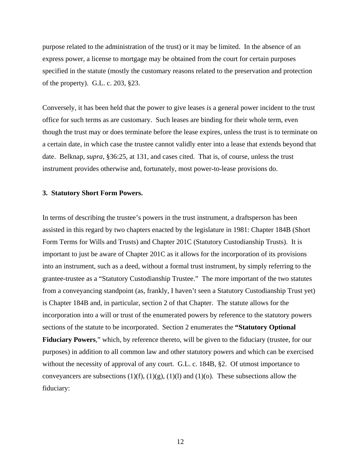purpose related to the administration of the trust) or it may be limited. In the absence of an express power, a license to mortgage may be obtained from the court for certain purposes specified in the statute (mostly the customary reasons related to the preservation and protection of the property). G.L. c. 203, §23.

Conversely, it has been held that the power to give leases *is* a general power incident to the trust office for such terms as are customary. Such leases are binding for their whole term, even though the trust may or does terminate before the lease expires, unless the trust is to terminate on a certain date, in which case the trustee cannot validly enter into a lease that extends beyond that date. Belknap, *supra*, §36:25, at 131, and cases cited. That is, of course, unless the trust instrument provides otherwise and, fortunately, most power-to-lease provisions do.

### **3. Statutory Short Form Powers.**

In terms of describing the trustee's powers in the trust instrument, a draftsperson has been assisted in this regard by two chapters enacted by the legislature in 1981: Chapter 184B (Short Form Terms for Wills and Trusts) and Chapter 201C (Statutory Custodianship Trusts). It is important to just be aware of Chapter 201C as it allows for the incorporation of its provisions into an instrument, such as a deed, without a formal trust instrument, by simply referring to the grantee-trustee as a "Statutory Custodianship Trustee." The more important of the two statutes from a conveyancing standpoint (as, frankly, I haven't seen a Statutory Custodianship Trust yet) is Chapter 184B and, in particular, section 2 of that Chapter. The statute allows for the incorporation into a will or trust of the enumerated powers by reference to the statutory powers sections of the statute to be incorporated. Section 2 enumerates the **"Statutory Optional Fiduciary Powers**," which, by reference thereto, will be given to the fiduciary (trustee, for our purposes) in addition to all common law and other statutory powers and which can be exercised without the necessity of approval of any court. G.L. c. 184B, §2. Of utmost importance to conveyancers are subsections  $(1)(f)$ ,  $(1)(g)$ ,  $(1)(l)$  and  $(1)(o)$ . These subsections allow the fiduciary: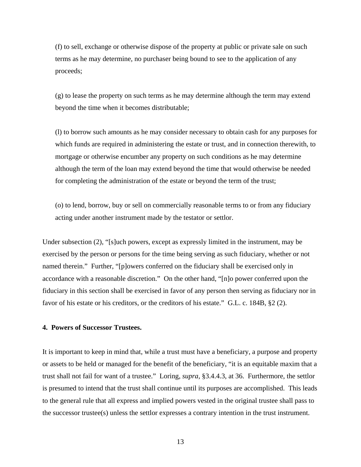(f) to sell, exchange or otherwise dispose of the property at public or private sale on such terms as he may determine, no purchaser being bound to see to the application of any proceeds;

(g) to lease the property on such terms as he may determine although the term may extend beyond the time when it becomes distributable;

(l) to borrow such amounts as he may consider necessary to obtain cash for any purposes for which funds are required in administering the estate or trust, and in connection therewith, to mortgage or otherwise encumber any property on such conditions as he may determine although the term of the loan may extend beyond the time that would otherwise be needed for completing the administration of the estate or beyond the term of the trust;

(o) to lend, borrow, buy or sell on commercially reasonable terms to or from any fiduciary acting under another instrument made by the testator or settlor.

Under subsection (2), "[s]uch powers, except as expressly limited in the instrument, may be exercised by the person or persons for the time being serving as such fiduciary, whether or not named therein." Further, "[p]owers conferred on the fiduciary shall be exercised only in accordance with a reasonable discretion." On the other hand, "[n]o power conferred upon the fiduciary in this section shall be exercised in favor of any person then serving as fiduciary nor in favor of his estate or his creditors, or the creditors of his estate." G.L. c. 184B, §2 (2).

# **4. Powers of Successor Trustees.**

It is important to keep in mind that, while a trust must have a beneficiary, a purpose and property or assets to be held or managed for the benefit of the beneficiary, "it is an equitable maxim that a trust shall not fail for want of a trustee." Loring, *supra*, §3.4.4.3, at 36. Furthermore, the settlor is presumed to intend that the trust shall continue until its purposes are accomplished. This leads to the general rule that all express and implied powers vested in the original trustee shall pass to the successor trustee(s) unless the settlor expresses a contrary intention in the trust instrument.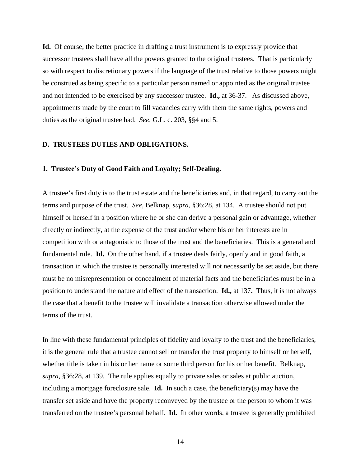**Id.** Of course, the better practice in drafting a trust instrument is to expressly provide that successor trustees shall have all the powers granted to the original trustees. That is particularly so with respect to discretionary powers if the language of the trust relative to those powers might be construed as being specific to a particular person named or appointed as the original trustee and not intended to be exercised by any successor trustee. **Id.,** at 36-37. As discussed above, appointments made by the court to fill vacancies carry with them the same rights, powers and duties as the original trustee had. *See*, G.L. c. 203, §§4 and 5.

## **D. TRUSTEES DUTIES AND OBLIGATIONS.**

#### **1. Trustee's Duty of Good Faith and Loyalty; Self-Dealing.**

A trustee's first duty is to the trust estate and the beneficiaries and, in that regard, to carry out the terms and purpose of the trust. *See,* Belknap, *supra*, §36:28, at 134. A trustee should not put himself or herself in a position where he or she can derive a personal gain or advantage, whether directly or indirectly, at the expense of the trust and/or where his or her interests are in competition with or antagonistic to those of the trust and the beneficiaries. This is a general and fundamental rule. **Id.** On the other hand, if a trustee deals fairly, openly and in good faith, a transaction in which the trustee is personally interested will not necessarily be set aside, but there must be no misrepresentation or concealment of material facts and the beneficiaries must be in a position to understand the nature and effect of the transaction. **Id.,** at 137**.** Thus, it is not always the case that a benefit to the trustee will invalidate a transaction otherwise allowed under the terms of the trust.

In line with these fundamental principles of fidelity and loyalty to the trust and the beneficiaries, it is the general rule that a trustee cannot sell or transfer the trust property to himself or herself, whether title is taken in his or her name or some third person for his or her benefit. Belknap, *supra*, §36:28, at 139. The rule applies equally to private sales or sales at public auction, including a mortgage foreclosure sale. **Id.** In such a case, the beneficiary(s) may have the transfer set aside and have the property reconveyed by the trustee or the person to whom it was transferred on the trustee's personal behalf. **Id.** In other words, a trustee is generally prohibited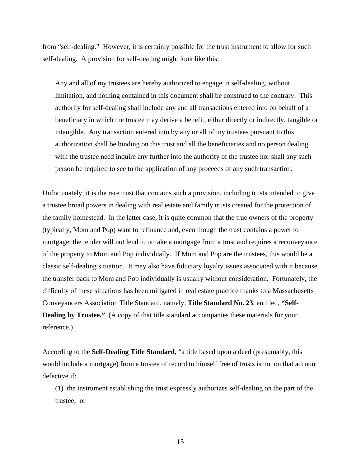from "self-dealing." However, it is certainly possible for the trust instrument to allow for such self-dealing. A provision for self-dealing might look like this:

Any and all of my trustees are hereby authorized to engage in self-dealing, without limitation, and nothing contained in this document shall be construed to the contrary. This authority for self-dealing shall include any and all transactions entered into on behalf of a beneficiary in which the trustee may derive a benefit, either directly or indirectly, tangible or intangible. Any transaction entered into by any or all of my trustees pursuant to this authorization shall be binding on this trust and all the beneficiaries and no person dealing with the trustee need inquire any further into the authority of the trustee nor shall any such person be required to see to the application of any proceeds of any such transaction.

Unfortunately, it is the rare trust that contains such a provision, including trusts intended to give a trustee broad powers in dealing with real estate and family trusts created for the protection of the family homestead. In the latter case, it is quite common that the true owners of the property (typically, Mom and Pop) want to refinance and, even though the trust contains a power to mortgage, the lender will not lend to or take a mortgage from a trust and requires a reconveyance of the property to Mom and Pop individually. If Mom and Pop are the trustees, this would be a classic self-dealing situation. It may also have fiduciary loyalty issues associated with it because the transfer back to Mom and Pop individually is usually without consideration. Fortunately, the difficulty of these situations has been mitigated in real estate practice thanks to a Massachusetts Conveyancers Association Title Standard, namely, **Title Standard No. 23**, entitled, **"Self-Dealing by Trustee."** (A copy of that title standard accompanies these materials for your reference.)

According to the **Self-Dealing Title Standard**, "a title based upon a deed (presumably, this would include a mortgage) from a trustee of record to himself free of trusts is not on that account defective if:

(1) the instrument establishing the trust expressly authorizes self-dealing on the part of the trustee; or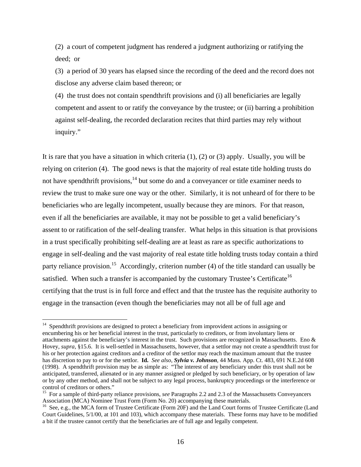(2) a court of competent judgment has rendered a judgment authorizing or ratifying the deed; or

(3) a period of 30 years has elapsed since the recording of the deed and the record does not disclose any adverse claim based thereon; or

(4) the trust does not contain spendthrift provisions and (i) all beneficiaries are legally competent and assent to or ratify the conveyance by the trustee; or (ii) barring a prohibition against self-dealing, the recorded declaration recites that third parties may rely without inquiry."

It is rare that you have a situation in which criteria  $(1)$ ,  $(2)$  or  $(3)$  apply. Usually, you will be relying on criterion (4). The good news is that the majority of real estate title holding trusts do not have spendthrift provisions, $14$  but some do and a conveyancer or title examiner needs to review the trust to make sure one way or the other. Similarly, it is not unheard of for there to be beneficiaries who are legally incompetent, usually because they are minors. For that reason, even if all the beneficiaries are available, it may not be possible to get a valid beneficiary's assent to or ratification of the self-dealing transfer. What helps in this situation is that provisions in a trust specifically prohibiting self-dealing are at least as rare as specific authorizations to engage in self-dealing and the vast majority of real estate title holding trusts today contain a third party reliance provision.<sup>15</sup> Accordingly, criterion number (4) of the title standard can usually be satisfied. When such a transfer is accompanied by the customary Trustee's Certificate<sup>[16](#page-15-2)</sup> certifying that the trust is in full force and effect and that the trustee has the requisite authority to engage in the transaction (even though the beneficiaries may not all be of full age and

<span id="page-15-0"></span> $14$  Spendthrift provisions are designed to protect a beneficiary from improvident actions in assigning or encumbering his or her beneficial interest in the trust, particularly to creditors, or from involuntary liens or attachments against the beneficiary's interest in the trust. Such provisions are recognized in Massachusetts. Eno & Hovey, *supra*, §15.6. It is well-settled in Massachusetts, however, that a settlor may not create a spendthrift trust for his or her protection against creditors and a creditor of the settlor may reach the maximum amount that the trustee has discretion to pay to or for the settlor. **Id.** *See also, Sylvia v. Johnson*, 44 Mass. App. Ct. 483, 691 N.E.2d 608 (1998). A spendthrift provision may be as simple as: "The interest of any beneficiary under this trust shall not be anticipated, transferred, alienated or in any manner assigned or pledged by such beneficiary, or by operation of law or by any other method, and shall not be subject to any legal process, bankruptcy proceedings or the interference or

<span id="page-15-1"></span>control of creditors or others."<br><sup>15</sup> For a sample of third-party reliance provisions, *see* Paragraphs 2.2 and 2.3 of the Massachusetts Conveyancers<br>Association (MCA) Nominee Trust Form (Form No. 20) accompanying these ma

<span id="page-15-2"></span><sup>&</sup>lt;sup>16</sup> See, e.g., the MCA form of Trustee Certificate (Form 20F) and the Land Court forms of Trustee Certificate (Land Court Guidelines, 5/1/00, at 101 and 103), which accompany these materials. These forms may have to be modified a bit if the trustee cannot certify that the beneficiaries are of full age and legally competent.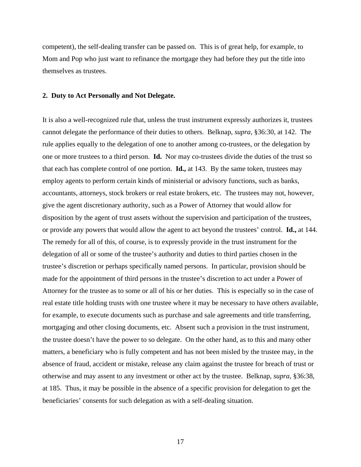competent), the self-dealing transfer can be passed on. This is of great help, for example, to Mom and Pop who just want to refinance the mortgage they had before they put the title into themselves as trustees.

### **2. Duty to Act Personally and Not Delegate.**

It is also a well-recognized rule that, unless the trust instrument expressly authorizes it, trustees cannot delegate the performance of their duties to others. Belknap, *supra*, §36:30, at 142. The rule applies equally to the delegation of one to another among co-trustees, or the delegation by one or more trustees to a third person. **Id.** Nor may co-trustees divide the duties of the trust so that each has complete control of one portion. **Id.,** at 143. By the same token, trustees may employ agents to perform certain kinds of ministerial or advisory functions, such as banks, accountants, attorneys, stock brokers or real estate brokers, etc. The trustees may not, however, give the agent discretionary authority, such as a Power of Attorney that would allow for disposition by the agent of trust assets without the supervision and participation of the trustees, or provide any powers that would allow the agent to act beyond the trustees' control. **Id.,** at 144. The remedy for all of this, of course, is to expressly provide in the trust instrument for the delegation of all or some of the trustee's authority and duties to third parties chosen in the trustee's discretion or perhaps specifically named persons. In particular, provision should be made for the appointment of third persons in the trustee's discretion to act under a Power of Attorney for the trustee as to some or all of his or her duties. This is especially so in the case of real estate title holding trusts with one trustee where it may be necessary to have others available, for example, to execute documents such as purchase and sale agreements and title transferring, mortgaging and other closing documents, etc. Absent such a provision in the trust instrument, the trustee doesn't have the power to so delegate. On the other hand, as to this and many other matters, a beneficiary who is fully competent and has not been misled by the trustee may, in the absence of fraud, accident or mistake, release any claim against the trustee for breach of trust or otherwise and may assent to any investment or other act by the trustee. Belknap, *supra*, §36:38, at 185. Thus, it may be possible in the absence of a specific provision for delegation to get the beneficiaries' consents for such delegation as with a self-dealing situation.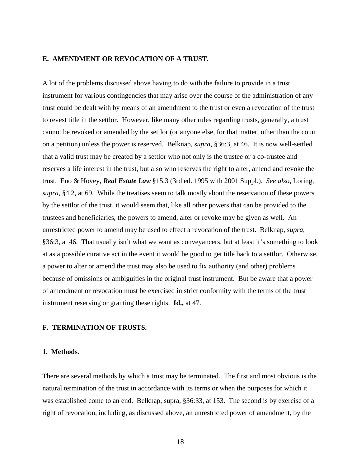# **E. AMENDMENT OR REVOCATION OF A TRUST.**

A lot of the problems discussed above having to do with the failure to provide in a trust instrument for various contingencies that may arise over the course of the administration of any trust could be dealt with by means of an amendment to the trust or even a revocation of the trust to revest title in the settlor. However, like many other rules regarding trusts, generally, a trust cannot be revoked or amended by the settlor (or anyone else, for that matter, other than the court on a petition) unless the power is reserved. Belknap, *supra*, §36:3, at 46. It is now well-settled that a valid trust may be created by a settlor who not only is the trustee or a co-trustee and reserves a life interest in the trust, but also who reserves the right to alter, amend and revoke the trust. Eno & Hovey, *Real Estate Law* §15.3 (3rd ed. 1995 with 2001 Suppl.). *See also*, Loring, *supra*, §4.2, at 69. While the treatises seem to talk mostly about the reservation of these powers by the settlor of the trust, it would seem that, like all other powers that can be provided to the trustees and beneficiaries, the powers to amend, alter or revoke may be given as well. An unrestricted power to amend may be used to effect a revocation of the trust. Belknap, *supra*, §36:3, at 46. That usually isn't what we want as conveyancers, but at least it's something to look at as a possible curative act in the event it would be good to get title back to a settlor. Otherwise, a power to alter or amend the trust may also be used to fix authority (and other) problems because of omissions or ambiguities in the original trust instrument. But be aware that a power of amendment or revocation must be exercised in strict conformity with the terms of the trust instrument reserving or granting these rights. **Id.,** at 47.

## **F. TERMINATION OF TRUSTS.**

### **1. Methods.**

There are several methods by which a trust may be terminated. The first and most obvious is the natural termination of the trust in accordance with its terms or when the purposes for which it was established come to an end. Belknap, supra, §36:33, at 153. The second is by exercise of a right of revocation, including, as discussed above, an unrestricted power of amendment, by the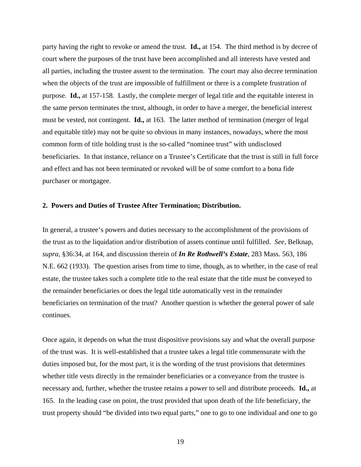party having the right to revoke or amend the trust. **Id.,** at 154. The third method is by decree of court where the purposes of the trust have been accomplished and all interests have vested and all parties, including the trustee assent to the termination. The court may also decree termination when the objects of the trust are impossible of fulfillment or there is a complete frustration of purpose. **Id.,** at 157-158. Lastly, the complete merger of legal title and the equitable interest in the same person terminates the trust, although, in order to have a merger, the beneficial interest must be vested, not contingent. **Id.,** at 163. The latter method of termination (merger of legal and equitable title) may not be quite so obvious in many instances, nowadays, where the most common form of title holding trust is the so-called "nominee trust" with undisclosed beneficiaries. In that instance, reliance on a Trustee's Certificate that the trust is still in full force and effect and has not been terminated or revoked will be of some comfort to a bona fide purchaser or mortgagee.

### **2. Powers and Duties of Trustee After Termination; Distribution.**

In general, a trustee's powers and duties necessary to the accomplishment of the provisions of the trust as to the liquidation and/or distribution of assets continue until fulfilled. *See,* Belknap, *supra*, §36:34, at 164, and discussion therein of *In Re Rothwell's Estate*, 283 Mass. 563, 186 N.E. 662 (1933). The question arises from time to time, though, as to whether, in the case of real estate, the trustee takes such a complete title to the real estate that the title must be conveyed to the remainder beneficiaries or does the legal title automatically vest in the remainder beneficiaries on termination of the trust? Another question is whether the general power of sale continues.

Once again, it depends on what the trust dispositive provisions say and what the overall purpose of the trust was. It is well-established that a trustee takes a legal title commensurate with the duties imposed but, for the most part, it is the wording of the trust provisions that determines whether title vests directly in the remainder beneficiaries or a conveyance from the trustee is necessary and, further, whether the trustee retains a power to sell and distribute proceeds. **Id.,** at 165. In the leading case on point, the trust provided that upon death of the life beneficiary, the trust property should "be divided into two equal parts," one to go to one individual and one to go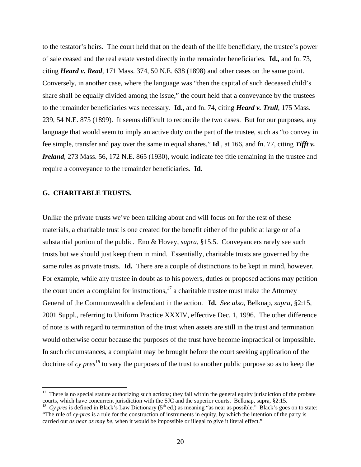to the testator's heirs. The court held that on the death of the life beneficiary, the trustee's power of sale ceased and the real estate vested directly in the remainder beneficiaries. **Id.,** and fn. 73, citing *Heard v. Read*, 171 Mass. 374, 50 N.E. 638 (1898) and other cases on the same point. Conversely, in another case, where the language was "then the capital of such deceased child's share shall be equally divided among the issue," the court held that a conveyance by the trustees to the remainder beneficiaries was necessary. **Id.,** and fn. 74, citing *Heard v. Trull*, 175 Mass. 239, 54 N.E. 875 (1899). It seems difficult to reconcile the two cases. But for our purposes, any language that would seem to imply an active duty on the part of the trustee, such as "to convey in fee simple, transfer and pay over the same in equal shares," **Id**., at 166, and fn. 77, citing *Tifft v. Ireland*, 273 Mass. 56, 172 N.E. 865 (1930), would indicate fee title remaining in the trustee and require a conveyance to the remainder beneficiaries. **Id.**

### **G. CHARITABLE TRUSTS.**

 $\overline{a}$ 

Unlike the private trusts we've been talking about and will focus on for the rest of these materials, a charitable trust is one created for the benefit either of the public at large or of a substantial portion of the public. Eno & Hovey, *supra*, §15.5. Conveyancers rarely see such trusts but we should just keep them in mind. Essentially, charitable trusts are governed by the same rules as private trusts. **Id.** There are a couple of distinctions to be kept in mind, however. For example, while any trustee in doubt as to his powers, duties or proposed actions may petition the court under a complaint for instructions, $17$  a charitable trustee must make the Attorney General of the Commonwealth a defendant in the action. **Id.** *See also*, Belknap, *supra*, §2:15, 2001 Suppl., referring to Uniform Practice XXXIV, effective Dec. 1, 1996. The other difference of note is with regard to termination of the trust when assets are still in the trust and termination would otherwise occur because the purposes of the trust have become impractical or impossible. In such circumstances, a complaint may be brought before the court seeking application of the doctrine of *cy pres [18](#page-19-1)* to vary the purposes of the trust to another public purpose so as to keep the

<span id="page-19-0"></span> $17$  There is no special statute authorizing such actions; they fall within the general equity jurisdiction of the probate courts, which have concurrent jurisdiction with the SJC and the superior courts. Belknap, supra, §2:15.<br><sup>18</sup> Cy pres is defined in Black's Law Dictionary (5<sup>th</sup> ed.) as meaning "as near as possible." Black's goes on to st

<span id="page-19-1"></span><sup>&</sup>quot;The rule of *cy-pres* is a rule for the construction of instruments in equity, by which the intention of the party is carried out *as near as may be*, when it would be impossible or illegal to give it literal effect."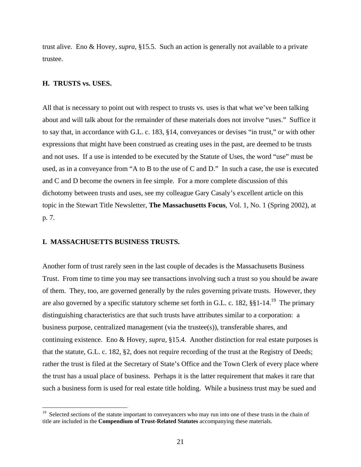trust alive. Eno & Hovey, *supra*, §15.5. Such an action is generally not available to a private trustee.

### **H. TRUSTS vs. USES.**

 $\overline{a}$ 

All that is necessary to point out with respect to trusts vs. uses is that what we've been talking about and will talk about for the remainder of these materials does not involve "uses." Suffice it to say that, in accordance with G.L. c. 183, §14, conveyances or devises "in trust," or with other expressions that might have been construed as creating uses in the past, are deemed to be trusts and not uses. If a use is intended to be executed by the Statute of Uses, the word "use" must be used, as in a conveyance from "A to B to the use of C and D." In such a case, the use is executed and C and D become the owners in fee simple. For a more complete discussion of this dichotomy between trusts and uses, see my colleague Gary Casaly's excellent article on this topic in the Stewart Title Newsletter, **The Massachusetts Focus**, Vol. 1, No. 1 (Spring 2002), at p. 7.

### **I. MASSACHUSETTS BUSINESS TRUSTS.**

Another form of trust rarely seen in the last couple of decades is the Massachusetts Business Trust. From time to time you may see transactions involving such a trust so you should be aware of them. They, too, are governed generally by the rules governing private trusts. However, they are also governed by a specific statutory scheme set forth in G.L. c. 182,  $\S$ §1-14.<sup>19</sup> The primary distinguishing characteristics are that such trusts have attributes similar to a corporation: a business purpose, centralized management (via the trustee(s)), transferable shares, and continuing existence. Eno & Hovey, *supra,* §15.4. Another distinction for real estate purposes is that the statute, G.L. c. 182, §2, does not require recording of the trust at the Registry of Deeds; rather the trust is filed at the Secretary of State's Office and the Town Clerk of every place where the trust has a usual place of business. Perhaps it is the latter requirement that makes it rare that such a business form is used for real estate title holding. While a business trust may be sued and

<span id="page-20-0"></span><sup>&</sup>lt;sup>19</sup> Selected sections of the statute important to conveyancers who may run into one of these trusts in the chain of title are included in the **Compendium of Trust-Related Statutes** accompanying these materials.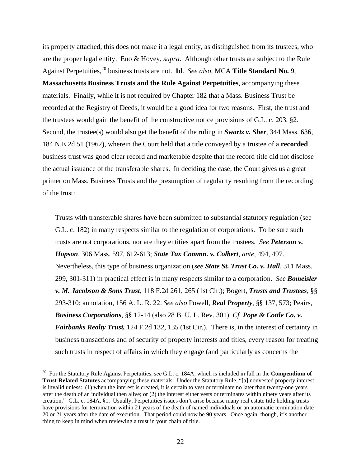its property attached, this does not make it a legal entity, as distinguished from its trustees, who are the proper legal entity. Eno & Hovey, *supra*. Although other trusts are subject to the Rule Against Perpetuities[,20](#page-21-0) business trusts are not. **Id**. *See also*, MCA **Title Standard No. 9**, **Massachusetts Business Trusts and the Rule Against Perpetuities**, accompanying these materials. Finally, while it is not required by Chapter 182 that a Mass. Business Trust be recorded at the Registry of Deeds, it would be a good idea for two reasons. First, the trust and the trustees would gain the benefit of the constructive notice provisions of G.L. c. 203, §2. Second, the trustee(s) would also get the benefit of the ruling in *Swartz v. Sher*, 344 Mass. 636, 184 N.E.2d 51 (1962), wherein the Court held that a title conveyed by a trustee of a **recorded**  business trust was good clear record and marketable despite that the record title did not disclose the actual issuance of the transferable shares. In deciding the case, the Court gives us a great primer on Mass. Business Trusts and the presumption of regularity resulting from the recording of the trust:

Trusts with transferable shares have been submitted to substantial statutory regulation (see G.L. c. 182) in many respects similar to the regulation of corporations. To be sure such trusts are not corporations, nor are they entities apart from the trustees. *See Peterson v. Hopson,* 306 Mass. 597, 612-613; *State Tax Commn. v. Colbert*, *ante,* 494, 497. Nevertheless, this type of business organization (*see State St. Trust Co. v. Hall*, 311 Mass. 299, 301-311) in practical effect is in many respects similar to a corporation. *See Bomeisler v. M. Jacobson & Sons Trust*, 118 F.2d 261, 265 (1st Cir.); Bogert, *Trusts and Trustees*, §§ 293-310; annotation, 156 A. L. R. 22. *See also* Powell, *Real Property*, §§ 137, 573; Peairs, *Business Corporations*, §§ 12-14 (also 28 B. U. L. Rev. 301). *Cf. Pope & Cottle Co. v. Fairbanks Realty Trust,* 124 F.2d 132, 135 (1st Cir.). There is, in the interest of certainty in business transactions and of security of property interests and titles, every reason for treating such trusts in respect of affairs in which they engage (and particularly as concerns the

<span id="page-21-0"></span><sup>20</sup> For the Statutory Rule Against Perpetuities, *see* G.L. c. 184A, which is included in full in the **Compendium of Trust-Related Statutes** accompanying these materials. Under the Statutory Rule, "[a] nonvested property interest is invalid unless: (1) when the interest is created, it is certain to vest or terminate no later than twenty-one years after the death of an individual then alive; or (2) the interest either vests or terminates within ninety years after its creation." G.L. c. 184A, §1. Usually, Perpetuities issues don't arise because many real estate title holding trusts have provisions for termination within 21 years of the death of named individuals or an automatic termination date 20 or 21 years after the date of execution. That period could now be 90 years. Once again, though, it's another thing to keep in mind when reviewing a trust in your chain of title.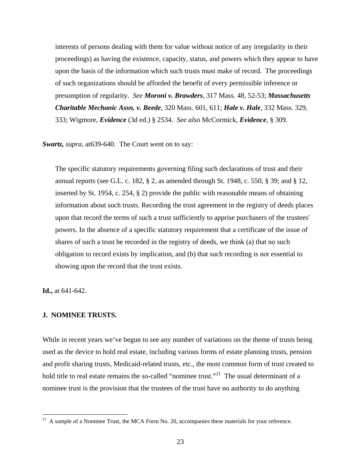interests of persons dealing with them for value without notice of any irregularity in their proceedings) as having the existence, capacity, status, and powers which they appear to have upon the basis of the information which such trusts must make of record. The proceedings of such organizations should be afforded the benefit of every permissible inference or presumption of regularity. *See Moroni v. Brawders*, 317 Mass. 48, 52-53; *Massachusetts Charitable Mechanic Assn. v. Beede*, 320 Mass. 601, 611; *Hale v. Hale*, 332 Mass. 329, 333; Wigmore, *Evidence* (3d ed.) § 2534. *See also* McCormick, *Evidence*, § 309.

*Swartz, supra*, at639-640. The Court went on to say:

The specific statutory requirements governing filing such declarations of trust and their annual reports (see G.L. c. 182, § 2, as amended through St. 1948, c. 550, § 39; and § 12, inserted by St. 1954, c. 254, § 2) provide the public with reasonable means of obtaining information about such trusts. Recording the trust agreement in the registry of deeds places upon that record the terms of such a trust sufficiently to apprise purchasers of the trustees' powers. In the absence of a specific statutory requirement that a certificate of the issue of shares of such a trust be recorded in the registry of deeds, we think (a) that no such obligation to record exists by implication, and (b) that such recording is not essential to showing upon the record that the trust exists.

**Id.,** at 641-642.

# **J. NOMINEE TRUSTS.**

While in recent years we've begun to see any number of variations on the theme of trusts being used as the device to hold real estate, including various forms of estate planning trusts, pension and profit sharing trusts, Medicaid-related trusts, etc., the most common form of trust created to hold title to real estate remains the so-called "nominee trust."<sup>21</sup> The usual determinant of a nominee trust is the provision that the trustees of the trust have no authority to do anything

<span id="page-22-0"></span> $21\,$ 21 A sample of a Nominee Trust, the MCA Form No. 20, accompanies these materials for your reference.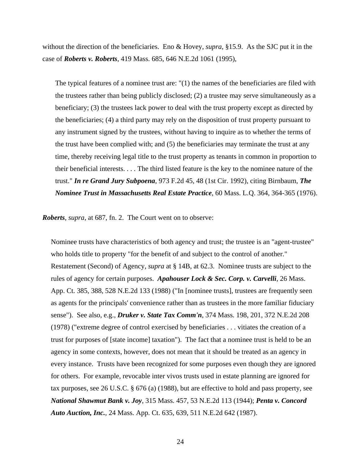without the direction of the beneficiaries. Eno & Hovey, *supra*, §15.9. As the SJC put it in the case of *Roberts v. Roberts*, 419 Mass. 685, 646 N.E.2d 1061 (1995),

The typical features of a nominee trust are: "(1) the names of the beneficiaries are filed with the trustees rather than being publicly disclosed; (2) a trustee may serve simultaneously as a beneficiary; (3) the trustees lack power to deal with the trust property except as directed by the beneficiaries; (4) a third party may rely on the disposition of trust property pursuant to any instrument signed by the trustees, without having to inquire as to whether the terms of the trust have been complied with; and (5) the beneficiaries may terminate the trust at any time, thereby receiving legal title to the trust property as tenants in common in proportion to their beneficial interests. . . . The third listed feature is the key to the nominee nature of the trust." *In re Grand Jury Subpoena*, 973 F.2d 45, 48 (1st Cir. 1992), citing Birnbaum, *The Nominee Trust in Massachusetts Real Estate Practice*, 60 Mass. L.Q. 364, 364-365 (1976).

*Roberts, supra*, at 687, fn. 2. The Court went on to observe:

Nominee trusts have characteristics of both agency and trust; the trustee is an "agent-trustee" who holds title to property "for the benefit of and subject to the control of another." Restatement (Second) of Agency, *supra* at § 14B, at 62.3. Nominee trusts are subject to the rules of agency for certain purposes. *Apahouser Lock & Sec. Corp. v. Carvelli*, 26 Mass. App. Ct. 385, 388, 528 N.E.2d 133 (1988) ("In [nominee trusts], trustees are frequently seen as agents for the principals' convenience rather than as trustees in the more familiar fiduciary sense"). See also, e.g., *Druker v. State Tax Comm'n*, 374 Mass. 198, 201, 372 N.E.2d 208 (1978) ("extreme degree of control exercised by beneficiaries . . . vitiates the creation of a trust for purposes of [state income] taxation"). The fact that a nominee trust is held to be an agency in some contexts, however, does not mean that it should be treated as an agency in every instance. Trusts have been recognized for some purposes even though they are ignored for others. For example, revocable inter vivos trusts used in estate planning are ignored for tax purposes, see 26 U.S.C. § 676 (a) (1988), but are effective to hold and pass property, see *National Shawmut Bank v. Joy*, 315 Mass. 457, 53 N.E.2d 113 (1944); *Penta v. Concord Auto Auction, Inc.*, 24 Mass. App. Ct. 635, 639, 511 N.E.2d 642 (1987).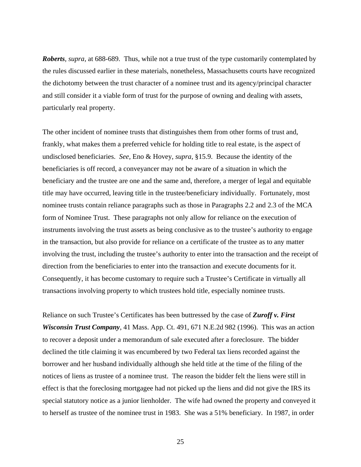*Roberts, supra*, at 688-689. Thus, while not a true trust of the type customarily contemplated by the rules discussed earlier in these materials, nonetheless, Massachusetts courts have recognized the dichotomy between the trust character of a nominee trust and its agency/principal character and still consider it a viable form of trust for the purpose of owning and dealing with assets, particularly real property.

The other incident of nominee trusts that distinguishes them from other forms of trust and, frankly, what makes them a preferred vehicle for holding title to real estate, is the aspect of undisclosed beneficiaries. *See,* Eno & Hovey, *supra*, §15.9. Because the identity of the beneficiaries is off record, a conveyancer may not be aware of a situation in which the beneficiary and the trustee are one and the same and, therefore, a merger of legal and equitable title may have occurred, leaving title in the trustee/beneficiary individually. Fortunately, most nominee trusts contain reliance paragraphs such as those in Paragraphs 2.2 and 2.3 of the MCA form of Nominee Trust. These paragraphs not only allow for reliance on the execution of instruments involving the trust assets as being conclusive as to the trustee's authority to engage in the transaction, but also provide for reliance on a certificate of the trustee as to any matter involving the trust, including the trustee's authority to enter into the transaction and the receipt of direction from the beneficiaries to enter into the transaction and execute documents for it. Consequently, it has become customary to require such a Trustee's Certificate in virtually all transactions involving property to which trustees hold title, especially nominee trusts.

Reliance on such Trustee's Certificates has been buttressed by the case of *Zuroff v. First Wisconsin Trust Company*, 41 Mass. App. Ct. 491, 671 N.E.2d 982 (1996). This was an action to recover a deposit under a memorandum of sale executed after a foreclosure. The bidder declined the title claiming it was encumbered by two Federal tax liens recorded against the borrower and her husband individually although she held title at the time of the filing of the notices of liens as trustee of a nominee trust. The reason the bidder felt the liens were still in effect is that the foreclosing mortgagee had not picked up the liens and did not give the IRS its special statutory notice as a junior lienholder. The wife had owned the property and conveyed it to herself as trustee of the nominee trust in 1983. She was a 51% beneficiary. In 1987, in order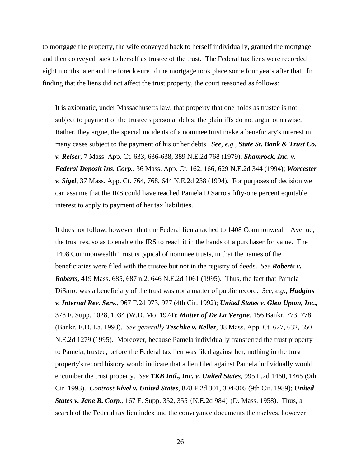to mortgage the property, the wife conveyed back to herself individually, granted the mortgage and then conveyed back to herself as trustee of the trust. The Federal tax liens were recorded eight months later and the foreclosure of the mortgage took place some four years after that. In finding that the liens did not affect the trust property, the court reasoned as follows:

It is axiomatic, under Massachusetts law, that property that one holds as trustee is not subject to payment of the trustee's personal debts; the plaintiffs do not argue otherwise. Rather, they argue, the special incidents of a nominee trust make a beneficiary's interest in many cases subject to the payment of his or her debts. *See, e.g., State St. Bank & Trust Co. v. Reiser,* 7 Mass. App. Ct. 633, 636-638, 389 N.E.2d 768 (1979); *Shamrock, Inc. v. Federal Deposit Ins. Corp.*, 36 Mass. App. Ct. 162, 166, 629 N.E.2d 344 (1994); *Worcester v. Sigel*, 37 Mass. App. Ct. 764, 768, 644 N.E.2d 238 (1994). For purposes of decision we can assume that the IRS could have reached Pamela DiSarro's fifty-one percent equitable interest to apply to payment of her tax liabilities.

It does not follow, however, that the Federal lien attached to 1408 Commonwealth Avenue, the trust res, so as to enable the IRS to reach it in the hands of a purchaser for value. The 1408 Commonwealth Trust is typical of nominee trusts, in that the names of the beneficiaries were filed with the trustee but not in the registry of deeds. *See Roberts v. Roberts***,** 419 Mass. 685, 687 n.2, 646 N.E.2d 1061 (1995). Thus, the fact that Pamela DiSarro was a beneficiary of the trust was not a matter of public record. *See, e.g., Hudgins v. Internal Rev. Serv.,* 967 F.2d 973, 977 (4th Cir. 1992); *United States v. Glen Upton, Inc.,* 378 F. Supp. 1028, 1034 (W.D. Mo. 1974); *Matter of De La Vergne*, 156 Bankr. 773, 778 (Bankr. E.D. La. 1993). *See generally Teschke v. Keller*, 38 Mass. App. Ct. 627, 632, 650 N.E.2d 1279 (1995). Moreover, because Pamela individually transferred the trust property to Pamela, trustee, before the Federal tax lien was filed against her, nothing in the trust property's record history would indicate that a lien filed against Pamela individually would encumber the trust property. *See TKB Intl., Inc. v. United States*, 995 F.2d 1460, 1465 (9th Cir. 1993). *Contrast Kivel v. United States*, 878 F.2d 301, 304-305 (9th Cir. 1989); *United States v. Jane B. Corp.*, 167 F. Supp. 352, 355 {N.E.2d 984} (D. Mass. 1958). Thus, a search of the Federal tax lien index and the conveyance documents themselves, however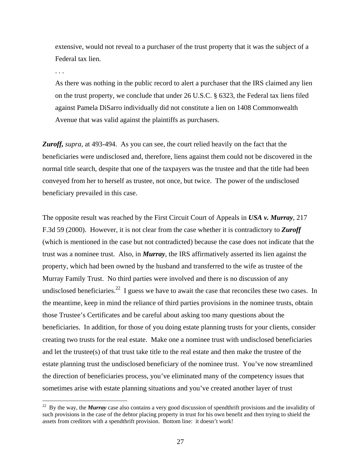extensive, would not reveal to a purchaser of the trust property that it was the subject of a Federal tax lien.

. . .

1

As there was nothing in the public record to alert a purchaser that the IRS claimed any lien on the trust property, we conclude that under 26 U.S.C. § 6323, the Federal tax liens filed against Pamela DiSarro individually did not constitute a lien on 1408 Commonwealth Avenue that was valid against the plaintiffs as purchasers.

*Zuroff, supra*, at 493-494. As you can see, the court relied heavily on the fact that the beneficiaries were undisclosed and, therefore, liens against them could not be discovered in the normal title search, despite that one of the taxpayers was the trustee and that the title had been conveyed from her to herself as trustee, not once, but twice. The power of the undisclosed beneficiary prevailed in this case.

The opposite result was reached by the First Circuit Court of Appeals in *USA v. Murray*, 217 F.3d 59 (2000). However, it is not clear from the case whether it is contradictory to *Zuroff* (which is mentioned in the case but not contradicted) because the case does not indicate that the trust was a nominee trust. Also, in *Murray*, the IRS affirmatively asserted its lien against the property, which had been owned by the husband and transferred to the wife as trustee of the Murray Family Trust. No third parties were involved and there is no discussion of any undisclosed beneficiaries.<sup>22</sup> I guess we have to await the case that reconciles these two cases. In the meantime, keep in mind the reliance of third parties provisions in the nominee trusts, obtain those Trustee's Certificates and be careful about asking too many questions about the beneficiaries. In addition, for those of you doing estate planning trusts for your clients, consider creating two trusts for the real estate. Make one a nominee trust with undisclosed beneficiaries and let the trustee(s) of that trust take title to the real estate and then make the trustee of the estate planning trust the undisclosed beneficiary of the nominee trust. You've now streamlined the direction of beneficiaries process, you've eliminated many of the competency issues that sometimes arise with estate planning situations and you've created another layer of trust

<span id="page-26-0"></span><sup>&</sup>lt;sup>22</sup> By the way, the *Murray* case also contains a very good discussion of spendthrift provisions and the invalidity of such provisions in the case of the debtor placing property in trust for his own benefit and then trying to shield the assets from creditors with a spendthrift provision. Bottom line: it doesn't work!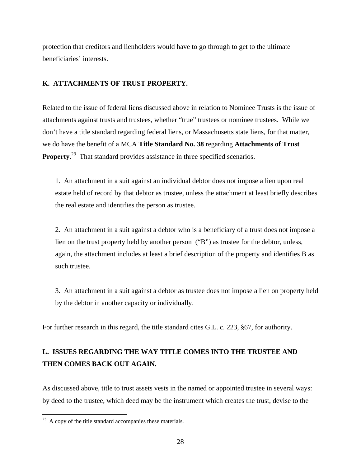protection that creditors and lienholders would have to go through to get to the ultimate beneficiaries' interests.

### **K. ATTACHMENTS OF TRUST PROPERTY.**

Related to the issue of federal liens discussed above in relation to Nominee Trusts is the issue of attachments against trusts and trustees, whether "true" trustees or nominee trustees. While we don't have a title standard regarding federal liens, or Massachusetts state liens, for that matter, we do have the benefit of a MCA **Title Standard No. 38** regarding **Attachments of Trust Property.**<sup>23</sup> That standard provides assistance in three specified scenarios.

1. An attachment in a suit against an individual debtor does not impose a lien upon real estate held of record by that debtor as trustee, unless the attachment at least briefly describes the real estate and identifies the person as trustee.

2. An attachment in a suit against a debtor who is a beneficiary of a trust does not impose a lien on the trust property held by another person ("B") as trustee for the debtor, unless, again, the attachment includes at least a brief description of the property and identifies B as such trustee.

3. An attachment in a suit against a debtor as trustee does not impose a lien on property held by the debtor in another capacity or individually.

For further research in this regard, the title standard cites G.L. c. 223, §67, for authority.

# **L. ISSUES REGARDING THE WAY TITLE COMES INTO THE TRUSTEE AND THEN COMES BACK OUT AGAIN.**

As discussed above, title to trust assets vests in the named or appointed trustee in several ways: by deed to the trustee, which deed may be the instrument which creates the trust, devise to the

<u>.</u>

<span id="page-27-0"></span> $^{23}$  A copy of the title standard accompanies these materials.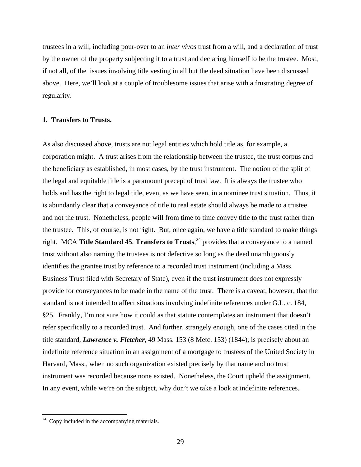trustees in a will, including pour-over to an *inter vivos* trust from a will, and a declaration of trust by the owner of the property subjecting it to a trust and declaring himself to be the trustee. Most, if not all, of the issues involving title vesting in all but the deed situation have been discussed above. Here, we'll look at a couple of troublesome issues that arise with a frustrating degree of regularity.

### **1. Transfers to Trusts.**

As also discussed above, trusts are not legal entities which hold title as, for example, a corporation might. A trust arises from the relationship between the trustee, the trust corpus and the beneficiary as established, in most cases, by the trust instrument. The notion of the split of the legal and equitable title is a paramount precept of trust law. It is always the trustee who holds and has the right to legal title, even, as we have seen, in a nominee trust situation. Thus, it is abundantly clear that a conveyance of title to real estate should always be made to a trustee and not the trust. Nonetheless, people will from time to time convey title to the trust rather than the trustee. This, of course, is not right. But, once again, we have a title standard to make things right. MCA **Title Standard 45**, **Transfers to Trusts**, [24](#page-28-0) provides that a conveyance to a named trust without also naming the trustees is not defective so long as the deed unambiguously identifies the grantee trust by reference to a recorded trust instrument (including a Mass. Business Trust filed with Secretary of State), even if the trust instrument does not expressly provide for conveyances to be made in the name of the trust. There is a caveat, however, that the standard is not intended to affect situations involving indefinite references under G.L. c. 184, §25. Frankly, I'm not sure how it could as that statute contemplates an instrument that doesn't refer specifically to a recorded trust. And further, strangely enough, one of the cases cited in the title standard, *Lawrence v. Fletcher*, 49 Mass. 153 (8 Metc. 153) (1844), is precisely about an indefinite reference situation in an assignment of a mortgage to trustees of the United Society in Harvard, Mass., when no such organization existed precisely by that name and no trust instrument was recorded because none existed. Nonetheless, the Court upheld the assignment. In any event, while we're on the subject, why don't we take a look at indefinite references.

 $\overline{a}$ 

<span id="page-28-0"></span> $24$  Copy included in the accompanying materials.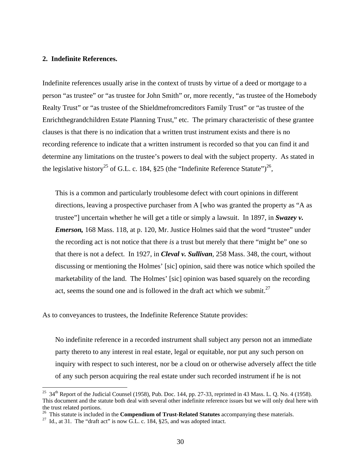### **2. Indefinite References.**

Indefinite references usually arise in the context of trusts by virtue of a deed or mortgage to a person "as trustee" or "as trustee for John Smith" or, more recently, "as trustee of the Homebody Realty Trust" or "as trustee of the Shieldmefromcreditors Family Trust" or "as trustee of the Enrichthegrandchildren Estate Planning Trust," etc. The primary characteristic of these grantee clauses is that there is no indication that a written trust instrument exists and there is no recording reference to indicate that a written instrument is recorded so that you can find it and determine any limitations on the trustee's powers to deal with the subject property. As stated in the legislative history<sup>25</sup> of G.L. c. 184, §25 (the "Indefinite Reference Statute")<sup>26</sup>,

This is a common and particularly troublesome defect with court opinions in different directions, leaving a prospective purchaser from A [who was granted the property as "A as trustee"] uncertain whether he will get a title or simply a lawsuit. In 1897, in *Swazey v. Emerson,* 168 Mass. 118, at p. 120, Mr. Justice Holmes said that the word "trustee" under the recording act is not notice that there *is* a trust but merely that there "might be" one so that there is not a defect. In 1927, in *Cleval v. Sullivan*, 258 Mass. 348, the court, without discussing or mentioning the Holmes' [sic] opinion, said there was notice which spoiled the marketability of the land. The Holmes' [sic] opinion was based squarely on the recording act, seems the sound one and is followed in the draft act which we submit.<sup>27</sup>

As to conveyances to trustees, the Indefinite Reference Statute provides:

No indefinite reference in a recorded instrument shall subject any person not an immediate party thereto to any interest in real estate, legal or equitable, nor put any such person on inquiry with respect to such interest, nor be a cloud on or otherwise adversely affect the title of any such person acquiring the real estate under such recorded instrument if he is not

 $\overline{a}$ 

<span id="page-29-0"></span><sup>&</sup>lt;sup>25</sup> 34<sup>th</sup> Report of the Judicial Counsel (1958), Pub. Doc. 144, pp. 27-33, reprinted in 43 Mass. L. Q. No. 4 (1958). This document and the statute both deal with several other indefinite reference issues but we will only deal here with the trust related portions. 26 This statute is included in the **Compendium of Trust-Related Statutes** accompanying these materials. 27 Id., at 31. The "draft act" is now G.L. c. 184, §25, and was adopted intact.

<span id="page-29-1"></span>

<span id="page-29-2"></span>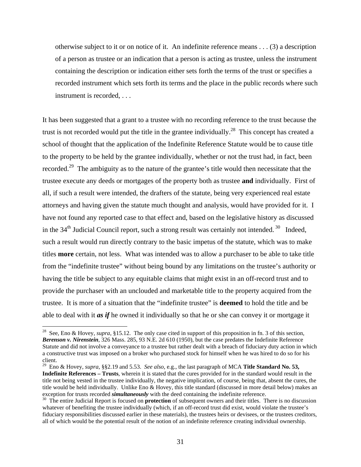otherwise subject to it or on notice of it. An indefinite reference means . . . (3) a description of a person as trustee or an indication that a person is acting as trustee, unless the instrument containing the description or indication either sets forth the terms of the trust or specifies a recorded instrument which sets forth its terms and the place in the public records where such instrument is recorded, . . .

It has been suggested that a grant to a trustee with no recording reference to the trust because the trust is not recorded would put the title in the grantee individually.<sup>28</sup> This concept has created a school of thought that the application of the Indefinite Reference Statute would be to cause title to the property to be held by the grantee individually, whether or not the trust had, in fact, been recorded[.29](#page-30-1) The ambiguity as to the nature of the grantee's title would then necessitate that the trustee execute any deeds or mortgages of the property both as trustee **and** individually. First of all, if such a result were intended, the drafters of the statute, being very experienced real estate attorneys and having given the statute much thought and analysis, would have provided for it. I have not found any reported case to that effect and, based on the legislative history as discussed in the  $34<sup>th</sup>$  Judicial Council report, such a strong result was certainly not intended.<sup>30</sup> Indeed, such a result would run directly contrary to the basic impetus of the statute, which was to make titles **more** certain, not less. What was intended was to allow a purchaser to be able to take title from the "indefinite trustee" without being bound by any limitations on the trustee's authority or having the title be subject to any equitable claims that might exist in an off-record trust and to provide the purchaser with an unclouded and marketable title to the property acquired from the trustee. It is more of a situation that the "indefinite trustee" is **deemed** to hold the title and be able to deal with it *as if* he owned it individually so that he or she can convey it or mortgage it

 $\overline{a}$ 

<span id="page-30-1"></span><sup>29</sup> Eno & Hovey, *supra*, §§2.19 and 5.53. *See also*, e.g., the last paragraph of MCA **Title Standard No. 53, Indefinite References – Trusts**, wherein it is stated that the cures provided for in the standard would result in the title not being vested in the trustee individually, the negative implication, of course, being that, absent the cures, the title would be held individually. Unlike Eno & Hovey, this title standard (discussed in more detail below) makes an exception for trusts recorded *simultaneously* with the deed containing the indefinite reference.<br><sup>30</sup> The entire Judicial Report is focused on **protection** of subsequent owners and their titles. There is no discussion

<span id="page-30-0"></span><sup>&</sup>lt;sup>28</sup> See, Eno & Hovey, *supra*, §15.12. The only case cited in support of this proposition in fn. 3 of this section, *Berenson v. Nirenstein*, 326 Mass. 285, 93 N.E. 2d 610 (1950), but the case predates the Indefinite Reference Statute and did not involve a conveyance to a trustee but rather dealt with a breach of fiduciary duty action in which a constructive trust was imposed on a broker who purchased stock for himself when he was hired to do so for his

<span id="page-30-2"></span>whatever of benefiting the trustee individually (which, if an off-record trust did exist, would violate the trustee's fiduciary responsibilities discussed earlier in these materials), the trustees heirs or devisees, or the trustees creditors, all of which would be the potential result of the notion of an indefinite reference creating individual ownership.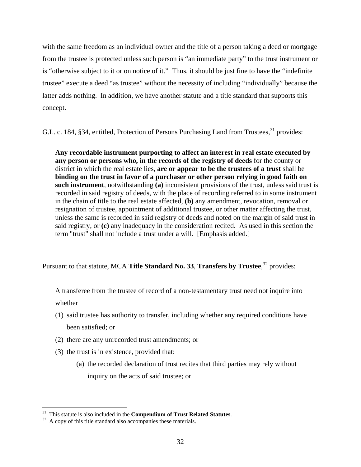with the same freedom as an individual owner and the title of a person taking a deed or mortgage from the trustee is protected unless such person is "an immediate party" to the trust instrument or is "otherwise subject to it or on notice of it." Thus, it should be just fine to have the "indefinite trustee" execute a deed "as trustee" without the necessity of including "individually" because the latter adds nothing. In addition, we have another statute and a title standard that supports this concept.

G.L. c. 184, §34, entitled, Protection of Persons Purchasing Land from Trustees,<sup>31</sup> provides:

**Any recordable instrument purporting to affect an interest in real estate executed by any person or persons who, in the records of the registry of deeds** for the county or district in which the real estate lies, **are or appear to be the trustees of a trust** shall be **binding on the trust in favor of a purchaser or other person relying in good faith on such instrument**, notwithstanding **(a)** inconsistent provisions of the trust, unless said trust is recorded in said registry of deeds, with the place of recording referred to in some instrument in the chain of title to the real estate affected, **(b)** any amendment, revocation, removal or resignation of trustee, appointment of additional trustee, or other matter affecting the trust, unless the same is recorded in said registry of deeds and noted on the margin of said trust in said registry, or **(c)** any inadequacy in the consideration recited. As used in this section the term "trust" shall not include a trust under a will. [Emphasis added.]

Pursuant to that statute, MCA **Title Standard No. 33, Transfers by Trustee**,<sup>32</sup> provides:

A transferee from the trustee of record of a non-testamentary trust need not inquire into whether

- (1) said trustee has authority to transfer, including whether any required conditions have been satisfied; or
- (2) there are any unrecorded trust amendments; or
- (3) the trust is in existence, provided that:
	- (a) the recorded declaration of trust recites that third parties may rely without inquiry on the acts of said trustee; or

<span id="page-31-0"></span><sup>&</sup>lt;sup>31</sup> This statute is also included in the **Compendium of Trust Related Statutes**. A copy of this title standard also accompanies these materials.

<span id="page-31-1"></span>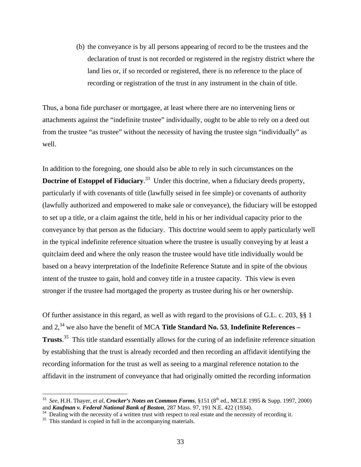(b) the conveyance is by all persons appearing of record to be the trustees and the declaration of trust is not recorded or registered in the registry district where the land lies or, if so recorded or registered, there is no reference to the place of recording or registration of the trust in any instrument in the chain of title.

Thus, a bona fide purchaser or mortgagee, at least where there are no intervening liens or attachments against the "indefinite trustee" individually, ought to be able to rely on a deed out from the trustee "as trustee" without the necessity of having the trustee sign "individually" as well.

In addition to the foregoing, one should also be able to rely in such circumstances on the **Doctrine of Estoppel of Fiduciary**.<sup>33</sup> Under this doctrine, when a fiduciary deeds property, particularly if with covenants of title (lawfully seised in fee simple) or covenants of authority (lawfully authorized and empowered to make sale or conveyance), the fiduciary will be estopped to set up a title, or a claim against the title, held in his or her individual capacity prior to the conveyance by that person as the fiduciary. This doctrine would seem to apply particularly well in the typical indefinite reference situation where the trustee is usually conveying by at least a quitclaim deed and where the only reason the trustee would have title individually would be based on a heavy interpretation of the Indefinite Reference Statute and in spite of the obvious intent of the trustee to gain, hold and convey title in a trustee capacity. This view is even stronger if the trustee had mortgaged the property as trustee during his or her ownership.

Of further assistance in this regard, as well as with regard to the provisions of G.L. c. 203, §§ 1 and 2,<sup>34</sup> we also have the benefit of MCA **Title Standard No. 53**, **Indefinite References** – **Trusts**. [35](#page-32-2) This title standard essentially allows for the curing of an indefinite reference situation by establishing that the trust is already recorded and then recording an affidavit identifying the recording information for the trust as well as seeing to a marginal reference notation to the affidavit in the instrument of conveyance that had originally omitted the recording information

 $\overline{a}$ 

<span id="page-32-0"></span><sup>&</sup>lt;sup>33</sup> *See*, H.H. Thayer, *et al*, *Crocker's Notes on Common Forms*, §151 (8<sup>th</sup> ed., MCLE 1995 & Supp. 1997, 2000) and **Kaufman v. Federal National Bank of Boston**, 287 Mass. 97, 191 N.E. 422 (1934).<br><sup>34</sup> Dealing with the necessity of a written trust with respect to real estate and the necessity of recording it.<br><sup>35</sup> This standard is

<span id="page-32-1"></span>

<span id="page-32-2"></span>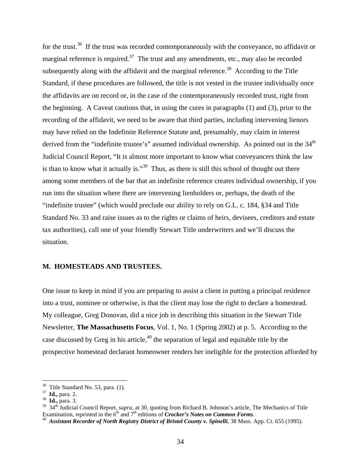for the trust.<sup>36</sup> If the trust was recorded contemporaneously with the conveyance, no affidavit or marginal reference is required.<sup>37</sup> The trust and any amendments, etc., may also be recorded subsequently along with the affidavit and the marginal reference.<sup>38</sup> According to the Title Standard, if these procedures are followed, the title is not vested in the trustee individually once the affidavits are on record or, in the case of the contemporaneously recorded trust, right from the beginning. A Caveat cautions that, in using the cures in paragraphs (1) and (3), prior to the recording of the affidavit, we need to be aware that third parties, including intervening lienors may have relied on the Indefinite Reference Statute and, presumably, may claim in interest derived from the "indefinite trustee's" assumed individual ownership. As pointed out in the 34<sup>th</sup> Judicial Council Report, "It is almost more important to know what conveyancers think the law is than to know what it actually is." $39$  Thus, as there is still this school of thought out there among some members of the bar that an indefinite reference creates individual ownership, if you run into the situation where there are intervening lienholders or, perhaps, the death of the "indefinite trustee" (which would preclude our ability to rely on G.L. c. 184, §34 and Title Standard No. 33 and raise issues as to the rights or claims of heirs, devisees, creditors and estate tax authorities), call one of your friendly Stewart Title underwriters and we'll discuss the situation.

#### **M. HOMESTEADS AND TRUSTEES.**

One issue to keep in mind if you are preparing to assist a client in putting a principal residence into a trust, nominee or otherwise, is that the client may lose the right to declare a homestead. My colleague, Greg Donovan, did a nice job in describing this situation in the Stewart Title Newsletter, **The Massachusetts Focus**, Vol. 1, No. 1 (Spring 2002) at p. 5. According to the case discussed by Greg in his article, $40$  the separation of legal and equitable title by the prospective homestead declarant homeowner renders her ineligible for the protection afforded by

<span id="page-33-0"></span><sup>36</sup> Title Standard No. 53, para. (1). 37 **Id.,** para. 2. 38 **Id.,** para. 3.

<span id="page-33-1"></span>

<span id="page-33-2"></span>

<span id="page-33-3"></span><sup>&</sup>lt;sup>39</sup> 34<sup>th</sup> Judicial Council Report, *supra*, at 30, quoting from Richard B. Johnson's article, The Mechanics of Title Examination, reprinted in the  $6<sup>th</sup>$  and  $7<sup>th</sup>$  editions of *Crocker's Notes on Common Forms*.

<span id="page-33-4"></span><sup>&</sup>lt;sup>40</sup> Assistant Recorder of North Registry District of Bristol County v. Spinelli, 38 Mass. App. Ct. 655 (1995).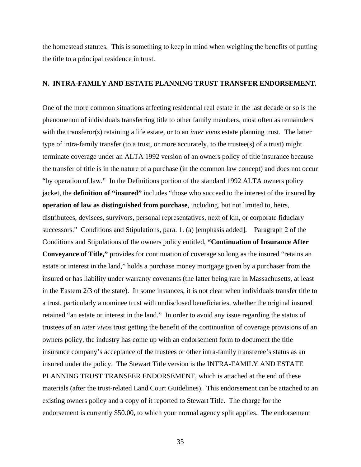the homestead statutes. This is something to keep in mind when weighing the benefits of putting the title to a principal residence in trust.

#### **N. INTRA-FAMILY AND ESTATE PLANNING TRUST TRANSFER ENDORSEMENT.**

One of the more common situations affecting residential real estate in the last decade or so is the phenomenon of individuals transferring title to other family members, most often as remainders with the transferor(s) retaining a life estate, or to an *inter vivos* estate planning trust. The latter type of intra-family transfer (to a trust, or more accurately, to the trustee(s) of a trust) might terminate coverage under an ALTA 1992 version of an owners policy of title insurance because the transfer of title is in the nature of a purchase (in the common law concept) and does not occur "by operation of law." In the Definitions portion of the standard 1992 ALTA owners policy jacket, the **definition of "insured"** includes "those who succeed to the interest of the insured **by operation of law as distinguished from purchase**, including, but not limited to, heirs, distributees, devisees, survivors, personal representatives, next of kin, or corporate fiduciary successors." Conditions and Stipulations, para. 1. (a) [emphasis added]. Paragraph 2 of the Conditions and Stipulations of the owners policy entitled, **"Continuation of Insurance After Conveyance of Title,"** provides for continuation of coverage so long as the insured "retains an estate or interest in the land," holds a purchase money mortgage given by a purchaser from the insured or has liability under warranty covenants (the latter being rare in Massachusetts, at least in the Eastern 2/3 of the state). In some instances, it is not clear when individuals transfer title to a trust, particularly a nominee trust with undisclosed beneficiaries, whether the original insured retained "an estate or interest in the land." In order to avoid any issue regarding the status of trustees of an *inter vivos* trust getting the benefit of the continuation of coverage provisions of an owners policy, the industry has come up with an endorsement form to document the title insurance company's acceptance of the trustees or other intra-family transferee's status as an insured under the policy. The Stewart Title version is the INTRA-FAMILY AND ESTATE PLANNING TRUST TRANSFER ENDORSEMENT, which is attached at the end of these materials (after the trust-related Land Court Guidelines). This endorsement can be attached to an existing owners policy and a copy of it reported to Stewart Title. The charge for the endorsement is currently \$50.00, to which your normal agency split applies. The endorsement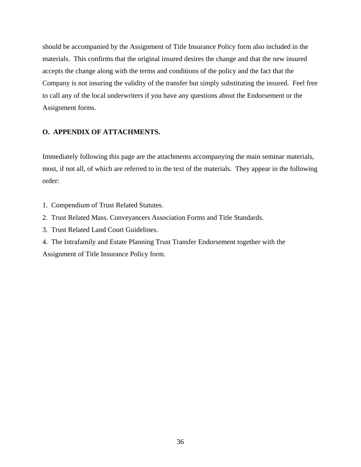should be accompanied by the Assignment of Title Insurance Policy form also included in the materials. This confirms that the original insured desires the change and that the new insured accepts the change along with the terms and conditions of the policy and the fact that the Company is not insuring the validity of the transfer but simply substituting the insured. Feel free to call any of the local underwriters if you have any questions about the Endorsement or the Assignment forms.

# **O. APPENDIX OF ATTACHMENTS.**

Immediately following this page are the attachments accompanying the main seminar materials, most, if not all, of which are referred to in the text of the materials. They appear in the following order:

- 1. Compendium of Trust Related Statutes.
- 2. Trust Related Mass. Conveyancers Association Forms and Title Standards.
- 3. Trust Related Land Court Guidelines.
- 4. The Intrafamily and Estate Planning Trust Transfer Endorsement together with the Assignment of Title Insurance Policy form.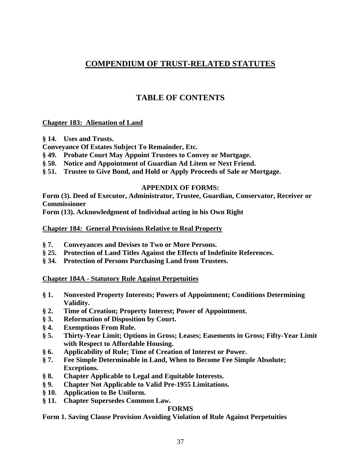# **COMPENDIUM OF TRUST-RELATED STATUTES**

# **TABLE OF CONTENTS**

#### **Chapter 183: Alienation of Land**

**§ 14. Uses and Trusts.** 

**Conveyance Of Estates Subject To Remainder, Etc.** 

- **§ 49. Probate Court May Appoint Trustees to Convey or Mortgage.**
- **§ 50. Notice and Appointment of Guardian Ad Litem or Next Friend.**
- **§ 51. Trustee to Give Bond, and Hold or Apply Proceeds of Sale or Mortgage.**

#### **APPENDIX OF FORMS:**

**Form (3). Deed of Executor, Administrator, Trustee, Guardian, Conservator, Receiver or Commissioner** 

**Form (13). Acknowledgment of Individual acting in his Own Right** 

#### **Chapter 184: General Provisions Relative to Real Property**

- **§ 7. Conveyances and Devises to Two or More Persons.**
- **§ 25. Protection of Land Titles Against the Effects of Indefinite References.**
- **§ 34. Protection of Persons Purchasing Land from Trustees.**

#### **Chapter 184A - Statutory Rule Against Perpetuities**

- **§ 1. Nonvested Property Interests; Powers of Appointment; Conditions Determining Validity.**
- **§ 2. Time of Creation; Property Interest; Power of Appointment.**
- **§ 3. Reformation of Disposition by Court.**
- **§ 4. Exemptions From Rule.**
- **§ 5. Thirty-Year Limit; Options in Gross; Leases; Easements in Gross; Fifty-Year Limit with Respect to Affordable Housing.**
- **§ 6. Applicability of Rule; Time of Creation of Interest or Power.**
- **§ 7. Fee Simple Determinable in Land, When to Become Fee Simple Absolute; Exceptions.**
- **§ 8. Chapter Applicable to Legal and Equitable Interests.**
- **§ 9. Chapter Not Applicable to Valid Pre-1955 Limitations.**
- **§ 10. Application to Be Uniform.**
- **§ 11. Chapter Supersedes Common Law.**

## **FORMS**

**Form 1. Saving Clause Provision Avoiding Violation of Rule Against Perpetuities**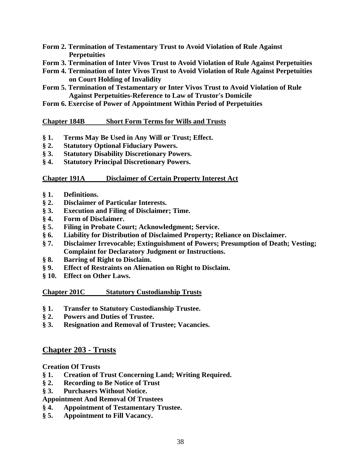- **Form 2. Termination of Testamentary Trust to Avoid Violation of Rule Against Perpetuities**
- **Form 3. Termination of Inter Vivos Trust to Avoid Violation of Rule Against Perpetuities**
- **Form 4. Termination of Inter Vivos Trust to Avoid Violation of Rule Against Perpetuities on Court Holding of Invalidity**
- **Form 5. Termination of Testamentary or Inter Vivos Trust to Avoid Violation of Rule Against Perpetuities-Reference to Law of Trustor's Domicile**
- **Form 6. Exercise of Power of Appointment Within Period of Perpetuities**

#### **Chapter 184B Short Form Terms for Wills and Trusts**

- **§ 1. Terms May Be Used in Any Will or Trust; Effect.**
- **§ 2. Statutory Optional Fiduciary Powers.**
- **§ 3. Statutory Disability Discretionary Powers.**
- **§ 4. Statutory Principal Discretionary Powers.**

#### **Chapter 191A Disclaimer of Certain Property Interest Act**

- **§ 1. Definitions.**
- **§ 2. Disclaimer of Particular Interests.**
- **§ 3. Execution and Filing of Disclaimer; Time.**
- **§ 4. Form of Disclaimer.**
- **§ 5. Filing in Probate Court; Acknowledgment; Service.**
- **§ 6. Liability for Distribution of Disclaimed Property; Reliance on Disclaimer.**
- **§ 7. Disclaimer Irrevocable; Extinguishment of Powers; Presumption of Death; Vesting; Complaint for Declaratory Judgment or Instructions.**
- **§ 8. Barring of Right to Disclaim.**
- **§ 9. Effect of Restraints on Alienation on Right to Disclaim.**
- **§ 10. Effect on Other Laws.**

#### **Chapter 201C Statutory Custodianship Trusts**

- **§ 1. Transfer to Statutory Custodianship Trustee.**
- **§ 2. Powers and Duties of Trustee.**
- **§ 3. Resignation and Removal of Trustee; Vacancies.**

## **Chapter 203 - Trusts**

#### **Creation Of Trusts**

- **§ 1. Creation of Trust Concerning Land; Writing Required.**
- **§ 2. Recording to Be Notice of Trust**
- **§ 3. Purchasers Without Notice.**

#### **Appointment And Removal Of Trustees**

- **§ 4. Appointment of Testamentary Trustee.**
- **§ 5. Appointment to Fill Vacancy.**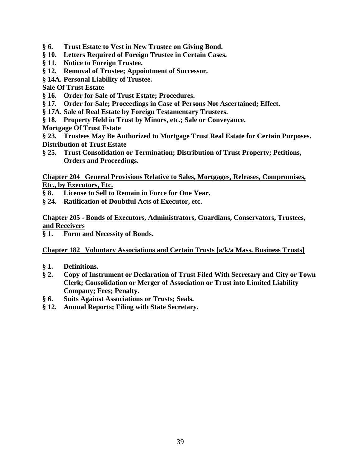- **§ 6. Trust Estate to Vest in New Trustee on Giving Bond.**
- **§ 10. Letters Required of Foreign Trustee in Certain Cases.**
- **§ 11. Notice to Foreign Trustee.**
- **§ 12. Removal of Trustee; Appointment of Successor.**
- **§ 14A. Personal Liability of Trustee.**

#### **Sale Of Trust Estate**

- **§ 16. Order for Sale of Trust Estate; Procedures.**
- **§ 17. Order for Sale; Proceedings in Case of Persons Not Ascertained; Effect.**
- **§ 17A. Sale of Real Estate by Foreign Testamentary Trustees.**
- **§ 18. Property Held in Trust by Minors, etc.; Sale or Conveyance.**
- **Mortgage Of Trust Estate**

**§ 23. Trustees May Be Authorized to Mortgage Trust Real Estate for Certain Purposes. Distribution of Trust Estate** 

**§ 25. Trust Consolidation or Termination; Distribution of Trust Property; Petitions, Orders and Proceedings.** 

**Chapter 204 General Provisions Relative to Sales, Mortgages, Releases, Compromises, Etc., by Executors, Etc.**

- **§ 8. License to Sell to Remain in Force for One Year.**
- **§ 24. Ratification of Doubtful Acts of Executor, etc.**

## **Chapter 205 - Bonds of Executors, Administrators, Guardians, Conservators, Trustees, and Receivers**

**§ 1. Form and Necessity of Bonds.** 

## **Chapter 182 Voluntary Associations and Certain Trusts [a/k/a Mass. Business Trusts]**

- **§ 1. Definitions.**
- **§ 2. Copy of Instrument or Declaration of Trust Filed With Secretary and City or Town Clerk; Consolidation or Merger of Association or Trust into Limited Liability Company; Fees; Penalty.**
- **§ 6. Suits Against Associations or Trusts; Seals.**
- **§ 12. Annual Reports; Filing with State Secretary.**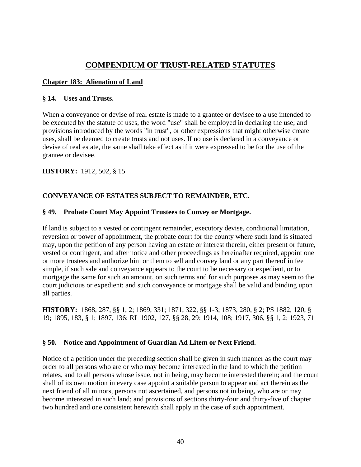# **COMPENDIUM OF TRUST-RELATED STATUTES**

## **Chapter 183: Alienation of Land**

#### **§ 14. Uses and Trusts.**

When a conveyance or devise of real estate is made to a grantee or devisee to a use intended to be executed by the statute of uses, the word "use" shall be employed in declaring the use; and provisions introduced by the words "in trust", or other expressions that might otherwise create uses, shall be deemed to create trusts and not uses. If no use is declared in a conveyance or devise of real estate, the same shall take effect as if it were expressed to be for the use of the grantee or devisee.

## **HISTORY:** 1912, 502, § 15

## **CONVEYANCE OF ESTATES SUBJECT TO REMAINDER, ETC.**

## **§ 49. Probate Court May Appoint Trustees to Convey or Mortgage.**

If land is subject to a vested or contingent remainder, executory devise, conditional limitation, reversion or power of appointment, the probate court for the county where such land is situated may, upon the petition of any person having an estate or interest therein, either present or future, vested or contingent, and after notice and other proceedings as hereinafter required, appoint one or more trustees and authorize him or them to sell and convey land or any part thereof in fee simple, if such sale and conveyance appears to the court to be necessary or expedient, or to mortgage the same for such an amount, on such terms and for such purposes as may seem to the court judicious or expedient; and such conveyance or mortgage shall be valid and binding upon all parties.

**HISTORY:** 1868, 287, §§ 1, 2; 1869, 331; 1871, 322, §§ 1-3; 1873, 280, § 2; PS 1882, 120, § 19; 1895, 183, § 1; 1897, 136; RL 1902, 127, §§ 28, 29; 1914, 108; 1917, 306, §§ 1, 2; 1923, 71

## **§ 50. Notice and Appointment of Guardian Ad Litem or Next Friend.**

Notice of a petition under the preceding section shall be given in such manner as the court may order to all persons who are or who may become interested in the land to which the petition relates, and to all persons whose issue, not in being, may become interested therein; and the court shall of its own motion in every case appoint a suitable person to appear and act therein as the next friend of all minors, persons not ascertained, and persons not in being, who are or may become interested in such land; and provisions of sections thirty-four and thirty-five of chapter two hundred and one consistent herewith shall apply in the case of such appointment.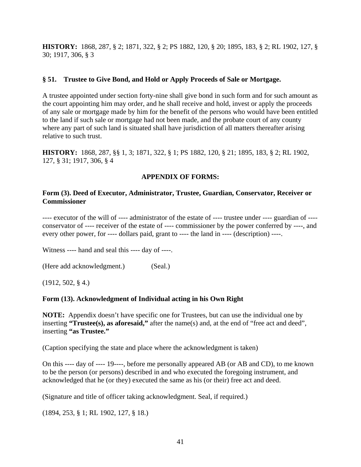**HISTORY:** 1868, 287, § 2; 1871, 322, § 2; PS 1882, 120, § 20; 1895, 183, § 2; RL 1902, 127, § 30; 1917, 306, § 3

#### **§ 51. Trustee to Give Bond, and Hold or Apply Proceeds of Sale or Mortgage.**

A trustee appointed under section forty-nine shall give bond in such form and for such amount as the court appointing him may order, and he shall receive and hold, invest or apply the proceeds of any sale or mortgage made by him for the benefit of the persons who would have been entitled to the land if such sale or mortgage had not been made, and the probate court of any county where any part of such land is situated shall have jurisdiction of all matters thereafter arising relative to such trust.

**HISTORY:** 1868, 287, §§ 1, 3; 1871, 322, § 1; PS 1882, 120, § 21; 1895, 183, § 2; RL 1902, 127, § 31; 1917, 306, § 4

## **APPENDIX OF FORMS:**

#### **Form (3). Deed of Executor, Administrator, Trustee, Guardian, Conservator, Receiver or Commissioner**

---- executor of the will of ---- administrator of the estate of ---- trustee under ---- guardian of --- conservator of ---- receiver of the estate of ---- commissioner by the power conferred by ----, and every other power, for ---- dollars paid, grant to ---- the land in ---- (description) ----.

Witness ---- hand and seal this ---- day of ----.

(Here add acknowledgment.) (Seal.)

(1912, 502, § 4.)

## **Form (13). Acknowledgment of Individual acting in his Own Right**

**NOTE:** Appendix doesn't have specific one for Trustees, but can use the individual one by inserting **"Trustee(s), as aforesaid,"** after the name(s) and, at the end of "free act and deed", inserting **"as Trustee."**

(Caption specifying the state and place where the acknowledgment is taken)

On this ---- day of ---- 19----, before me personally appeared AB (or AB and CD), to me known to be the person (or persons) described in and who executed the foregoing instrument, and acknowledged that he (or they) executed the same as his (or their) free act and deed.

(Signature and title of officer taking acknowledgment. Seal, if required.)

(1894, 253, § 1; RL 1902, 127, § 18.)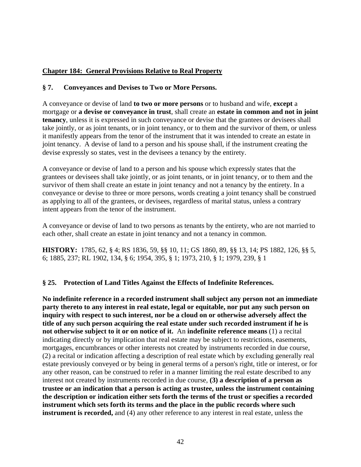## **Chapter 184: General Provisions Relative to Real Property**

## **§ 7. Conveyances and Devises to Two or More Persons.**

A conveyance or devise of land **to two or more persons** or to husband and wife, **except** a mortgage or **a devise or conveyance in trust**, shall create an **estate in common and not in joint tenancy**, unless it is expressed in such conveyance or devise that the grantees or devisees shall take jointly, or as joint tenants, or in joint tenancy, or to them and the survivor of them, or unless it manifestly appears from the tenor of the instrument that it was intended to create an estate in joint tenancy. A devise of land to a person and his spouse shall, if the instrument creating the devise expressly so states, vest in the devisees a tenancy by the entirety.

A conveyance or devise of land to a person and his spouse which expressly states that the grantees or devisees shall take jointly, or as joint tenants, or in joint tenancy, or to them and the survivor of them shall create an estate in joint tenancy and not a tenancy by the entirety. In a conveyance or devise to three or more persons, words creating a joint tenancy shall be construed as applying to all of the grantees, or devisees, regardless of marital status, unless a contrary intent appears from the tenor of the instrument.

A conveyance or devise of land to two persons as tenants by the entirety, who are not married to each other, shall create an estate in joint tenancy and not a tenancy in common.

**HISTORY:** 1785, 62, § 4; RS 1836, 59, §§ 10, 11; GS 1860, 89, §§ 13, 14; PS 1882, 126, §§ 5, 6; 1885, 237; RL 1902, 134, § 6; 1954, 395, § 1; 1973, 210, § 1; 1979, 239, § 1

## **§ 25. Protection of Land Titles Against the Effects of Indefinite References.**

**No indefinite reference in a recorded instrument shall subject any person not an immediate party thereto to any interest in real estate, legal or equitable, nor put any such person on inquiry with respect to such interest, nor be a cloud on or otherwise adversely affect the title of any such person acquiring the real estate under such recorded instrument if he is not otherwise subject to it or on notice of it.** An **indefinite reference means** (1) a recital indicating directly or by implication that real estate may be subject to restrictions, easements, mortgages, encumbrances or other interests not created by instruments recorded in due course, (2) a recital or indication affecting a description of real estate which by excluding generally real estate previously conveyed or by being in general terms of a person's right, title or interest, or for any other reason, can be construed to refer in a manner limiting the real estate described to any interest not created by instruments recorded in due course, **(3) a description of a person as trustee or an indication that a person is acting as trustee, unless the instrument containing the description or indication either sets forth the terms of the trust or specifies a recorded instrument which sets forth its terms and the place in the public records where such instrument is recorded,** and (4) any other reference to any interest in real estate, unless the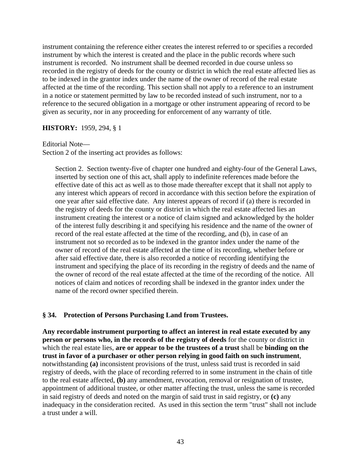instrument containing the reference either creates the interest referred to or specifies a recorded instrument by which the interest is created and the place in the public records where such instrument is recorded. No instrument shall be deemed recorded in due course unless so recorded in the registry of deeds for the county or district in which the real estate affected lies as to be indexed in the grantor index under the name of the owner of record of the real estate affected at the time of the recording. This section shall not apply to a reference to an instrument in a notice or statement permitted by law to be recorded instead of such instrument, nor to a reference to the secured obligation in a mortgage or other instrument appearing of record to be given as security, nor in any proceeding for enforcement of any warranty of title.

#### **HISTORY:** 1959, 294, § 1

#### Editorial Note—

Section 2 of the inserting act provides as follows:

Section 2. Section twenty-five of chapter one hundred and eighty-four of the General Laws, inserted by section one of this act, shall apply to indefinite references made before the effective date of this act as well as to those made thereafter except that it shall not apply to any interest which appears of record in accordance with this section before the expiration of one year after said effective date. Any interest appears of record if (a) there is recorded in the registry of deeds for the county or district in which the real estate affected lies an instrument creating the interest or a notice of claim signed and acknowledged by the holder of the interest fully describing it and specifying his residence and the name of the owner of record of the real estate affected at the time of the recording, and (b), in case of an instrument not so recorded as to be indexed in the grantor index under the name of the owner of record of the real estate affected at the time of its recording, whether before or after said effective date, there is also recorded a notice of recording identifying the instrument and specifying the place of its recording in the registry of deeds and the name of the owner of record of the real estate affected at the time of the recording of the notice. All notices of claim and notices of recording shall be indexed in the grantor index under the name of the record owner specified therein.

#### **§ 34. Protection of Persons Purchasing Land from Trustees.**

**Any recordable instrument purporting to affect an interest in real estate executed by any person or persons who, in the records of the registry of deeds** for the county or district in which the real estate lies, **are or appear to be the trustees of a trust** shall be **binding on the trust in favor of a purchaser or other person relying in good faith on such instrument**, notwithstanding **(a)** inconsistent provisions of the trust, unless said trust is recorded in said registry of deeds, with the place of recording referred to in some instrument in the chain of title to the real estate affected, **(b)** any amendment, revocation, removal or resignation of trustee, appointment of additional trustee, or other matter affecting the trust, unless the same is recorded in said registry of deeds and noted on the margin of said trust in said registry, or **(c)** any inadequacy in the consideration recited. As used in this section the term "trust" shall not include a trust under a will.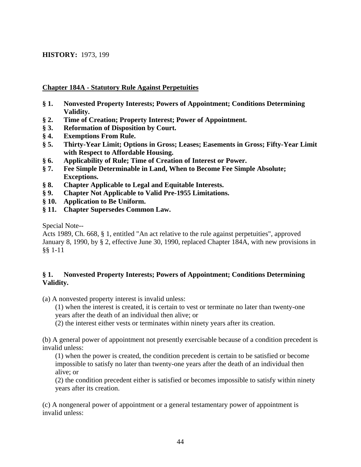#### **HISTORY:** 1973, 199

#### **Chapter 184A - Statutory Rule Against Perpetuities**

- **§ 1. Nonvested Property Interests; Powers of Appointment; Conditions Determining Validity.**
- **§ 2. Time of Creation; Property Interest; Power of Appointment.**
- **§ 3. Reformation of Disposition by Court.**
- **§ 4. Exemptions From Rule.**
- **§ 5. Thirty-Year Limit; Options in Gross; Leases; Easements in Gross; Fifty-Year Limit with Respect to Affordable Housing.**
- **§ 6. Applicability of Rule; Time of Creation of Interest or Power.**
- **§ 7. Fee Simple Determinable in Land, When to Become Fee Simple Absolute; Exceptions.**
- **§ 8. Chapter Applicable to Legal and Equitable Interests.**
- **§ 9. Chapter Not Applicable to Valid Pre-1955 Limitations.**
- **§ 10. Application to Be Uniform.**
- **§ 11. Chapter Supersedes Common Law.**

Special Note--

Acts 1989, Ch. 668, § 1, entitled "An act relative to the rule against perpetuities", approved January 8, 1990, by § 2, effective June 30, 1990, replaced Chapter 184A, with new provisions in §§ 1-11

## **§ 1. Nonvested Property Interests; Powers of Appointment; Conditions Determining Validity.**

(a) A nonvested property interest is invalid unless:

(1) when the interest is created, it is certain to vest or terminate no later than twenty-one years after the death of an individual then alive; or

(2) the interest either vests or terminates within ninety years after its creation.

(b) A general power of appointment not presently exercisable because of a condition precedent is invalid unless:

(1) when the power is created, the condition precedent is certain to be satisfied or become impossible to satisfy no later than twenty-one years after the death of an individual then alive; or

(2) the condition precedent either is satisfied or becomes impossible to satisfy within ninety years after its creation.

(c) A nongeneral power of appointment or a general testamentary power of appointment is invalid unless: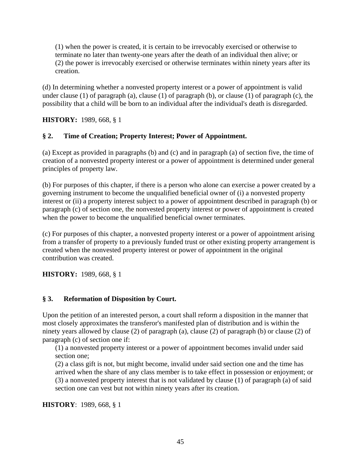(1) when the power is created, it is certain to be irrevocably exercised or otherwise to terminate no later than twenty-one years after the death of an individual then alive; or (2) the power is irrevocably exercised or otherwise terminates within ninety years after its creation.

(d) In determining whether a nonvested property interest or a power of appointment is valid under clause (1) of paragraph (a), clause (1) of paragraph (b), or clause (1) of paragraph (c), the possibility that a child will be born to an individual after the individual's death is disregarded.

**HISTORY:** 1989, 668, § 1

## **§ 2. Time of Creation; Property Interest; Power of Appointment.**

(a) Except as provided in paragraphs (b) and (c) and in paragraph (a) of section five, the time of creation of a nonvested property interest or a power of appointment is determined under general principles of property law.

(b) For purposes of this chapter, if there is a person who alone can exercise a power created by a governing instrument to become the unqualified beneficial owner of (i) a nonvested property interest or (ii) a property interest subject to a power of appointment described in paragraph (b) or paragraph (c) of section one, the nonvested property interest or power of appointment is created when the power to become the unqualified beneficial owner terminates.

(c) For purposes of this chapter, a nonvested property interest or a power of appointment arising from a transfer of property to a previously funded trust or other existing property arrangement is created when the nonvested property interest or power of appointment in the original contribution was created.

**HISTORY:** 1989, 668, § 1

## **§ 3. Reformation of Disposition by Court.**

Upon the petition of an interested person, a court shall reform a disposition in the manner that most closely approximates the transferor's manifested plan of distribution and is within the ninety years allowed by clause (2) of paragraph (a), clause (2) of paragraph (b) or clause (2) of paragraph (c) of section one if:

(1) a nonvested property interest or a power of appointment becomes invalid under said section one;

(2) a class gift is not, but might become, invalid under said section one and the time has arrived when the share of any class member is to take effect in possession or enjoyment; or (3) a nonvested property interest that is not validated by clause (1) of paragraph (a) of said section one can vest but not within ninety years after its creation.

**HISTORY**: 1989, 668, § 1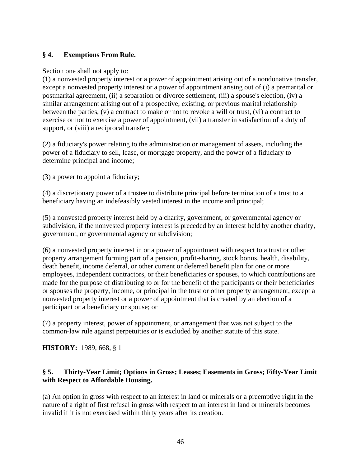## **§ 4. Exemptions From Rule.**

#### Section one shall not apply to:

(1) a nonvested property interest or a power of appointment arising out of a nondonative transfer, except a nonvested property interest or a power of appointment arising out of (i) a premarital or postmarital agreement, (ii) a separation or divorce settlement, (iii) a spouse's election, (iv) a similar arrangement arising out of a prospective, existing, or previous marital relationship between the parties, (v) a contract to make or not to revoke a will or trust, (vi) a contract to exercise or not to exercise a power of appointment, (vii) a transfer in satisfaction of a duty of support, or (viii) a reciprocal transfer;

(2) a fiduciary's power relating to the administration or management of assets, including the power of a fiduciary to sell, lease, or mortgage property, and the power of a fiduciary to determine principal and income;

(3) a power to appoint a fiduciary;

(4) a discretionary power of a trustee to distribute principal before termination of a trust to a beneficiary having an indefeasibly vested interest in the income and principal;

(5) a nonvested property interest held by a charity, government, or governmental agency or subdivision, if the nonvested property interest is preceded by an interest held by another charity, government, or governmental agency or subdivision;

(6) a nonvested property interest in or a power of appointment with respect to a trust or other property arrangement forming part of a pension, profit-sharing, stock bonus, health, disability, death benefit, income deferral, or other current or deferred benefit plan for one or more employees, independent contractors, or their beneficiaries or spouses, to which contributions are made for the purpose of distributing to or for the benefit of the participants or their beneficiaries or spouses the property, income, or principal in the trust or other property arrangement, except a nonvested property interest or a power of appointment that is created by an election of a participant or a beneficiary or spouse; or

(7) a property interest, power of appointment, or arrangement that was not subject to the common-law rule against perpetuities or is excluded by another statute of this state.

**HISTORY:** 1989, 668, § 1

## **§ 5. Thirty-Year Limit; Options in Gross; Leases; Easements in Gross; Fifty-Year Limit with Respect to Affordable Housing.**

(a) An option in gross with respect to an interest in land or minerals or a preemptive right in the nature of a right of first refusal in gross with respect to an interest in land or minerals becomes invalid if it is not exercised within thirty years after its creation.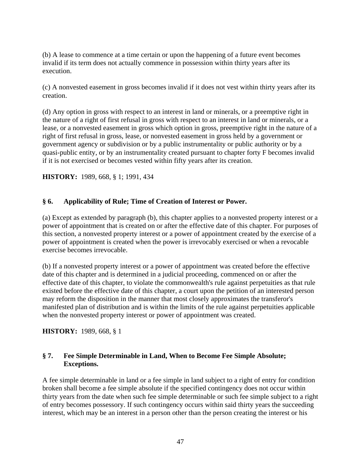(b) A lease to commence at a time certain or upon the happening of a future event becomes invalid if its term does not actually commence in possession within thirty years after its execution.

(c) A nonvested easement in gross becomes invalid if it does not vest within thirty years after its creation.

(d) Any option in gross with respect to an interest in land or minerals, or a preemptive right in the nature of a right of first refusal in gross with respect to an interest in land or minerals, or a lease, or a nonvested easement in gross which option in gross, preemptive right in the nature of a right of first refusal in gross, lease, or nonvested easement in gross held by a government or government agency or subdivision or by a public instrumentality or public authority or by a quasi-public entity, or by an instrumentality created pursuant to chapter forty F becomes invalid if it is not exercised or becomes vested within fifty years after its creation.

**HISTORY:** 1989, 668, § 1; 1991, 434

## **§ 6. Applicability of Rule; Time of Creation of Interest or Power.**

(a) Except as extended by paragraph (b), this chapter applies to a nonvested property interest or a power of appointment that is created on or after the effective date of this chapter. For purposes of this section, a nonvested property interest or a power of appointment created by the exercise of a power of appointment is created when the power is irrevocably exercised or when a revocable exercise becomes irrevocable.

(b) If a nonvested property interest or a power of appointment was created before the effective date of this chapter and is determined in a judicial proceeding, commenced on or after the effective date of this chapter, to violate the commonwealth's rule against perpetuities as that rule existed before the effective date of this chapter, a court upon the petition of an interested person may reform the disposition in the manner that most closely approximates the transferor's manifested plan of distribution and is within the limits of the rule against perpetuities applicable when the nonvested property interest or power of appointment was created.

**HISTORY:** 1989, 668, § 1

#### **§ 7. Fee Simple Determinable in Land, When to Become Fee Simple Absolute; Exceptions.**

A fee simple determinable in land or a fee simple in land subject to a right of entry for condition broken shall become a fee simple absolute if the specified contingency does not occur within thirty years from the date when such fee simple determinable or such fee simple subject to a right of entry becomes possessory. If such contingency occurs within said thirty years the succeeding interest, which may be an interest in a person other than the person creating the interest or his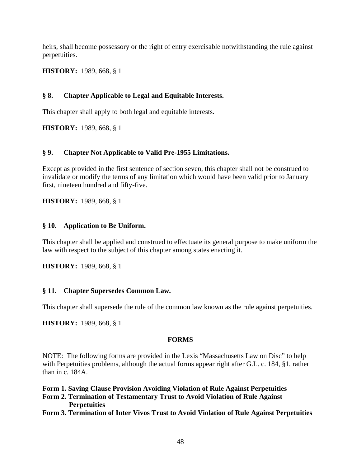heirs, shall become possessory or the right of entry exercisable notwithstanding the rule against perpetuities.

**HISTORY:** 1989, 668, § 1

## **§ 8. Chapter Applicable to Legal and Equitable Interests.**

This chapter shall apply to both legal and equitable interests.

**HISTORY:** 1989, 668, § 1

#### **§ 9. Chapter Not Applicable to Valid Pre-1955 Limitations.**

Except as provided in the first sentence of section seven, this chapter shall not be construed to invalidate or modify the terms of any limitation which would have been valid prior to January first, nineteen hundred and fifty-five.

**HISTORY:** 1989, 668, § 1

#### **§ 10. Application to Be Uniform.**

This chapter shall be applied and construed to effectuate its general purpose to make uniform the law with respect to the subject of this chapter among states enacting it.

**HISTORY:** 1989, 668, § 1

#### **§ 11. Chapter Supersedes Common Law.**

This chapter shall supersede the rule of the common law known as the rule against perpetuities.

**HISTORY:** 1989, 668, § 1

#### **FORMS**

NOTE: The following forms are provided in the Lexis "Massachusetts Law on Disc" to help with Perpetuities problems, although the actual forms appear right after G.L. c. 184, §1, rather than in c. 184A.

**Form 1. Saving Clause Provision Avoiding Violation of Rule Against Perpetuities** 

- **Form 2. Termination of Testamentary Trust to Avoid Violation of Rule Against Perpetuities**
- **Form 3. Termination of Inter Vivos Trust to Avoid Violation of Rule Against Perpetuities**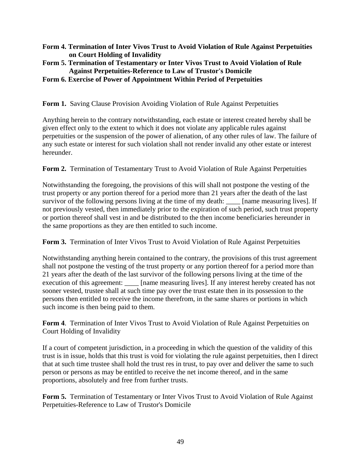- **Form 4. Termination of Inter Vivos Trust to Avoid Violation of Rule Against Perpetuities on Court Holding of Invalidity**
- **Form 5. Termination of Testamentary or Inter Vivos Trust to Avoid Violation of Rule Against Perpetuities-Reference to Law of Trustor's Domicile**
- **Form 6. Exercise of Power of Appointment Within Period of Perpetuities**

**Form 1.** Saving Clause Provision Avoiding Violation of Rule Against Perpetuities

Anything herein to the contrary notwithstanding, each estate or interest created hereby shall be given effect only to the extent to which it does not violate any applicable rules against perpetuities or the suspension of the power of alienation, of any other rules of law. The failure of any such estate or interest for such violation shall not render invalid any other estate or interest hereunder.

**Form 2.** Termination of Testamentary Trust to Avoid Violation of Rule Against Perpetuities

Notwithstanding the foregoing, the provisions of this will shall not postpone the vesting of the trust property or any portion thereof for a period more than 21 years after the death of the last survivor of the following persons living at the time of my death: [also [name measuring lives]. If not previously vested, then immediately prior to the expiration of such period, such trust property or portion thereof shall vest in and be distributed to the then income beneficiaries hereunder in the same proportions as they are then entitled to such income.

**Form 3.** Termination of Inter Vivos Trust to Avoid Violation of Rule Against Perpetuities

Notwithstanding anything herein contained to the contrary, the provisions of this trust agreement shall not postpone the vesting of the trust property or any portion thereof for a period more than 21 years after the death of the last survivor of the following persons living at the time of the execution of this agreement: [name measuring lives]. If any interest hereby created has not sooner vested, trustee shall at such time pay over the trust estate then in its possession to the persons then entitled to receive the income therefrom, in the same shares or portions in which such income is then being paid to them.

**Form 4**. Termination of Inter Vivos Trust to Avoid Violation of Rule Against Perpetuities on Court Holding of Invalidity

If a court of competent jurisdiction, in a proceeding in which the question of the validity of this trust is in issue, holds that this trust is void for violating the rule against perpetuities, then I direct that at such time trustee shall hold the trust res in trust, to pay over and deliver the same to such person or persons as may be entitled to receive the net income thereof, and in the same proportions, absolutely and free from further trusts.

**Form 5.** Termination of Testamentary or Inter Vivos Trust to Avoid Violation of Rule Against Perpetuities-Reference to Law of Trustor's Domicile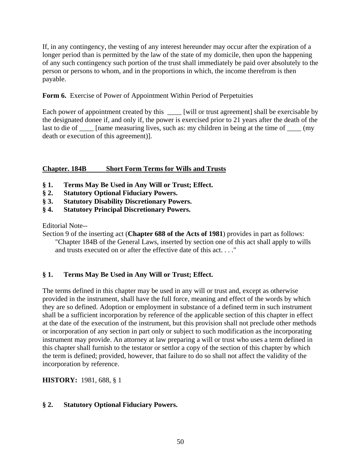If, in any contingency, the vesting of any interest hereunder may occur after the expiration of a longer period than is permitted by the law of the state of my domicile, then upon the happening of any such contingency such portion of the trust shall immediately be paid over absolutely to the person or persons to whom, and in the proportions in which, the income therefrom is then payable.

## **Form 6.** Exercise of Power of Appointment Within Period of Perpetuities

Each power of appointment created by this \_\_\_\_ [will or trust agreement] shall be exercisable by the designated donee if, and only if, the power is exercised prior to 21 years after the death of the last to die of \_\_\_\_\_ [name measuring lives, such as: my children in being at the time of \_\_\_\_\_ (my death or execution of this agreement)].

## **Chapter. 184B Short Form Terms for Wills and Trusts**

- **§ 1. Terms May Be Used in Any Will or Trust; Effect.**
- **§ 2. Statutory Optional Fiduciary Powers.**
- **§ 3. Statutory Disability Discretionary Powers.**
- **§ 4. Statutory Principal Discretionary Powers.**

Editorial Note--

Section 9 of the inserting act (**Chapter 688 of the Acts of 1981**) provides in part as follows: "Chapter 184B of the General Laws, inserted by section one of this act shall apply to wills and trusts executed on or after the effective date of this act. . . ."

## **§ 1. Terms May Be Used in Any Will or Trust; Effect.**

The terms defined in this chapter may be used in any will or trust and, except as otherwise provided in the instrument, shall have the full force, meaning and effect of the words by which they are so defined. Adoption or employment in substance of a defined term in such instrument shall be a sufficient incorporation by reference of the applicable section of this chapter in effect at the date of the execution of the instrument, but this provision shall not preclude other methods or incorporation of any section in part only or subject to such modification as the incorporating instrument may provide. An attorney at law preparing a will or trust who uses a term defined in this chapter shall furnish to the testator or settlor a copy of the section of this chapter by which the term is defined; provided, however, that failure to do so shall not affect the validity of the incorporation by reference.

**HISTORY:** 1981, 688, § 1

## **§ 2. Statutory Optional Fiduciary Powers.**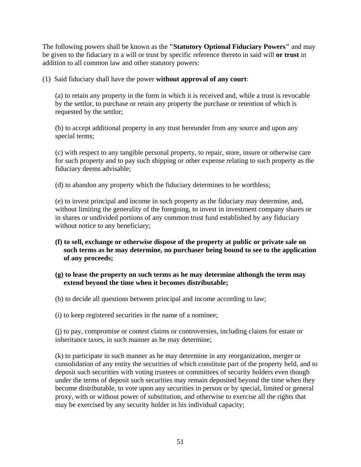The following powers shall be known as the **"Statutory Optional Fiduciary Powers"** and may be given to the fiduciary in a will or trust by specific reference thereto in said will **or trust** in addition to all common law and other statutory powers:

(1) Said fiduciary shall have the power **without approval of any court**:

(a) to retain any property in the form in which it is received and, while a trust is revocable by the settlor, to purchase or retain any property the purchase or retention of which is requested by the settlor;

(b) to accept additional property in any trust hereunder from any source and upon any special terms;

(c) with respect to any tangible personal property, to repair, store, insure or otherwise care for such property and to pay such shipping or other expense relating to such property as the fiduciary deems advisable;

(d) to abandon any property which the fiduciary determines to be worthless;

(e) to invest principal and income in such property as the fiduciary may determine, and, without limiting the generality of the foregoing, to invest in investment company shares or in shares or undivided portions of any common trust fund established by any fiduciary without notice to any beneficiary;

- **(f) to sell, exchange or otherwise dispose of the property at public or private sale on such terms as he may determine, no purchaser being bound to see to the application of any proceeds;**
- **(g) to lease the property on such terms as he may determine although the term may extend beyond the time when it becomes distributable;**
- (h) to decide all questions between principal and income according to law;
- (i) to keep registered securities in the name of a nominee;

(j) to pay, compromise or contest claims or controversies, including claims for estate or inheritance taxes, in such manner as he may determine;

(k) to participate in such manner as he may determine in any reorganization, merger or consolidation of any entity the securities of which constitute part of the property held, and to deposit such securities with voting trustees or committees of security holders even though under the terms of deposit such securities may remain deposited beyond the time when they become distributable, to vote upon any securities in person or by special, limited or general proxy, with or without power of substitution, and otherwise to exercise all the rights that may be exercised by any security holder in his individual capacity;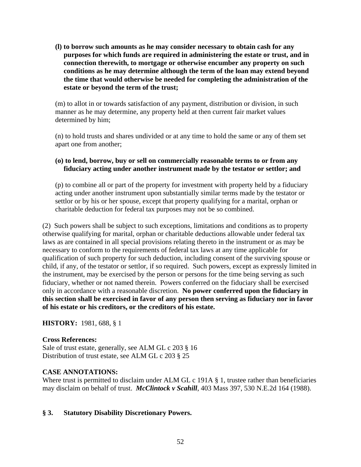**(l) to borrow such amounts as he may consider necessary to obtain cash for any purposes for which funds are required in administering the estate or trust, and in connection therewith, to mortgage or otherwise encumber any property on such conditions as he may determine although the term of the loan may extend beyond the time that would otherwise be needed for completing the administration of the estate or beyond the term of the trust;** 

(m) to allot in or towards satisfaction of any payment, distribution or division, in such manner as he may determine, any property held at then current fair market values determined by him;

(n) to hold trusts and shares undivided or at any time to hold the same or any of them set apart one from another;

#### **(o) to lend, borrow, buy or sell on commercially reasonable terms to or from any fiduciary acting under another instrument made by the testator or settlor; and**

(p) to combine all or part of the property for investment with property held by a fiduciary acting under another instrument upon substantially similar terms made by the testator or settlor or by his or her spouse, except that property qualifying for a marital, orphan or charitable deduction for federal tax purposes may not be so combined.

(2) Such powers shall be subject to such exceptions, limitations and conditions as to property otherwise qualifying for marital, orphan or charitable deductions allowable under federal tax laws as are contained in all special provisions relating thereto in the instrument or as may be necessary to conform to the requirements of federal tax laws at any time applicable for qualification of such property for such deduction, including consent of the surviving spouse or child, if any, of the testator or settlor, if so required. Such powers, except as expressly limited in the instrument, may be exercised by the person or persons for the time being serving as such fiduciary, whether or not named therein. Powers conferred on the fiduciary shall be exercised only in accordance with a reasonable discretion. **No power conferred upon the fiduciary in this section shall be exercised in favor of any person then serving as fiduciary nor in favor of his estate or his creditors, or the creditors of his estate.**

**HISTORY:** 1981, 688, § 1

#### **Cross References:**

Sale of trust estate, generally, see ALM GL c 203 § 16 Distribution of trust estate, see ALM GL c 203 § 25

## **CASE ANNOTATIONS:**

Where trust is permitted to disclaim under ALM GL c 191A § 1, trustee rather than beneficiaries may disclaim on behalf of trust. *McClintock v Scahill*, 403 Mass 397, 530 N.E.2d 164 (1988).

#### **§ 3. Statutory Disability Discretionary Powers.**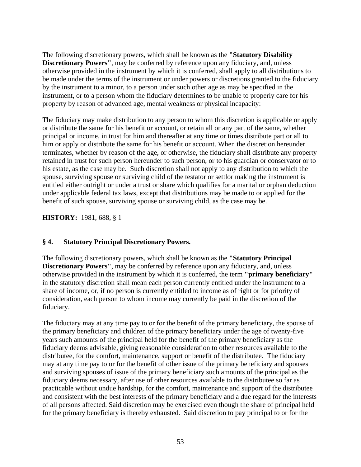The following discretionary powers, which shall be known as the **"Statutory Disability Discretionary Powers"**, may be conferred by reference upon any fiduciary, and, unless otherwise provided in the instrument by which it is conferred, shall apply to all distributions to be made under the terms of the instrument or under powers or discretions granted to the fiduciary by the instrument to a minor, to a person under such other age as may be specified in the instrument, or to a person whom the fiduciary determines to be unable to properly care for his property by reason of advanced age, mental weakness or physical incapacity:

The fiduciary may make distribution to any person to whom this discretion is applicable or apply or distribute the same for his benefit or account, or retain all or any part of the same, whether principal or income, in trust for him and thereafter at any time or times distribute part or all to him or apply or distribute the same for his benefit or account. When the discretion hereunder terminates, whether by reason of the age, or otherwise, the fiduciary shall distribute any property retained in trust for such person hereunder to such person, or to his guardian or conservator or to his estate, as the case may be. Such discretion shall not apply to any distribution to which the spouse, surviving spouse or surviving child of the testator or settlor making the instrument is entitled either outright or under a trust or share which qualifies for a marital or orphan deduction under applicable federal tax laws, except that distributions may be made to or applied for the benefit of such spouse, surviving spouse or surviving child, as the case may be.

**HISTORY:** 1981, 688, § 1

## **§ 4. Statutory Principal Discretionary Powers.**

The following discretionary powers, which shall be known as the **"Statutory Principal Discretionary Powers''**, may be conferred by reference upon any fiduciary, and, unless otherwise provided in the instrument by which it is conferred, the term **"primary beneficiary"** in the statutory discretion shall mean each person currently entitled under the instrument to a share of income, or, if no person is currently entitled to income as of right or for priority of consideration, each person to whom income may currently be paid in the discretion of the fiduciary.

The fiduciary may at any time pay to or for the benefit of the primary beneficiary, the spouse of the primary beneficiary and children of the primary beneficiary under the age of twenty-five years such amounts of the principal held for the benefit of the primary beneficiary as the fiduciary deems advisable, giving reasonable consideration to other resources available to the distributee, for the comfort, maintenance, support or benefit of the distributee. The fiduciary may at any time pay to or for the benefit of other issue of the primary beneficiary and spouses and surviving spouses of issue of the primary beneficiary such amounts of the principal as the fiduciary deems necessary, after use of other resources available to the distributee so far as practicable without undue hardship, for the comfort, maintenance and support of the distributee and consistent with the best interests of the primary beneficiary and a due regard for the interests of all persons affected. Said discretion may be exercised even though the share of principal held for the primary beneficiary is thereby exhausted. Said discretion to pay principal to or for the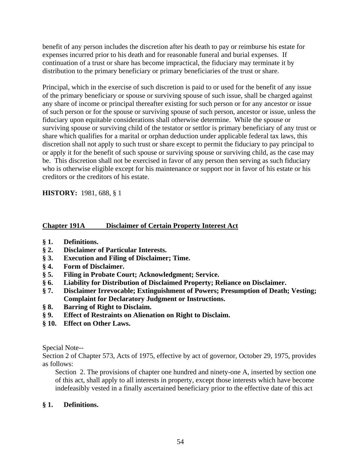benefit of any person includes the discretion after his death to pay or reimburse his estate for expenses incurred prior to his death and for reasonable funeral and burial expenses. If continuation of a trust or share has become impractical, the fiduciary may terminate it by distribution to the primary beneficiary or primary beneficiaries of the trust or share.

Principal, which in the exercise of such discretion is paid to or used for the benefit of any issue of the primary beneficiary or spouse or surviving spouse of such issue, shall be charged against any share of income or principal thereafter existing for such person or for any ancestor or issue of such person or for the spouse or surviving spouse of such person, ancestor or issue, unless the fiduciary upon equitable considerations shall otherwise determine. While the spouse or surviving spouse or surviving child of the testator or settlor is primary beneficiary of any trust or share which qualifies for a marital or orphan deduction under applicable federal tax laws, this discretion shall not apply to such trust or share except to permit the fiduciary to pay principal to or apply it for the benefit of such spouse or surviving spouse or surviving child, as the case may be. This discretion shall not be exercised in favor of any person then serving as such fiduciary who is otherwise eligible except for his maintenance or support nor in favor of his estate or his creditors or the creditors of his estate.

**HISTORY:** 1981, 688, § 1

## **Chapter 191A Disclaimer of Certain Property Interest Act**

- **§ 1. Definitions.**
- **§ 2. Disclaimer of Particular Interests.**
- **§ 3. Execution and Filing of Disclaimer; Time.**
- **§ 4. Form of Disclaimer.**
- **§ 5. Filing in Probate Court; Acknowledgment; Service.**
- **§ 6. Liability for Distribution of Disclaimed Property; Reliance on Disclaimer.**
- **§ 7. Disclaimer Irrevocable; Extinguishment of Powers; Presumption of Death; Vesting; Complaint for Declaratory Judgment or Instructions.**
- **§ 8. Barring of Right to Disclaim.**
- **§ 9. Effect of Restraints on Alienation on Right to Disclaim.**
- **§ 10. Effect on Other Laws.**

Special Note--

Section 2 of Chapter 573, Acts of 1975, effective by act of governor, October 29, 1975, provides as follows:

Section 2. The provisions of chapter one hundred and ninety-one A, inserted by section one of this act, shall apply to all interests in property, except those interests which have become indefeasibly vested in a finally ascertained beneficiary prior to the effective date of this act

## **§ 1. Definitions.**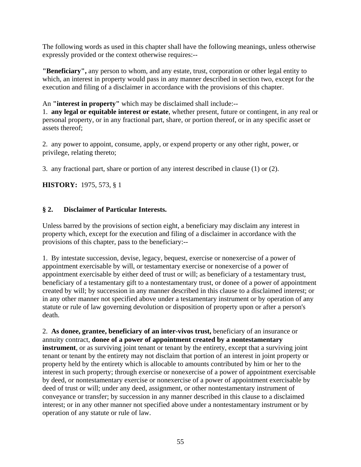The following words as used in this chapter shall have the following meanings, unless otherwise expressly provided or the context otherwise requires:--

**"Beneficiary",** any person to whom, and any estate, trust, corporation or other legal entity to which, an interest in property would pass in any manner described in section two, except for the execution and filing of a disclaimer in accordance with the provisions of this chapter.

An **"interest in property"** which may be disclaimed shall include:--

1. **any legal or equitable interest or estate**, whether present, future or contingent, in any real or personal property, or in any fractional part, share, or portion thereof, or in any specific asset or assets thereof;

2. any power to appoint, consume, apply, or expend property or any other right, power, or privilege, relating thereto;

3. any fractional part, share or portion of any interest described in clause (1) or (2).

**HISTORY:** 1975, 573, § 1

## **§ 2. Disclaimer of Particular Interests.**

Unless barred by the provisions of section eight, a beneficiary may disclaim any interest in property which, except for the execution and filing of a disclaimer in accordance with the provisions of this chapter, pass to the beneficiary:--

1. By intestate succession, devise, legacy, bequest, exercise or nonexercise of a power of appointment exercisable by will, or testamentary exercise or nonexercise of a power of appointment exercisable by either deed of trust or will; as beneficiary of a testamentary trust, beneficiary of a testamentary gift to a nontestamentary trust, or donee of a power of appointment created by will; by succession in any manner described in this clause to a disclaimed interest; or in any other manner not specified above under a testamentary instrument or by operation of any statute or rule of law governing devolution or disposition of property upon or after a person's death.

2. **As donee, grantee, beneficiary of an inter-vivos trust,** beneficiary of an insurance or annuity contract, **donee of a power of appointment created by a nontestamentary instrument**, or as surviving joint tenant or tenant by the entirety, except that a surviving joint tenant or tenant by the entirety may not disclaim that portion of an interest in joint property or property held by the entirety which is allocable to amounts contributed by him or her to the interest in such property; through exercise or nonexercise of a power of appointment exercisable by deed, or nontestamentary exercise or nonexercise of a power of appointment exercisable by deed of trust or will; under any deed, assignment, or other nontestamentary instrument of conveyance or transfer; by succession in any manner described in this clause to a disclaimed interest; or in any other manner not specified above under a nontestamentary instrument or by operation of any statute or rule of law.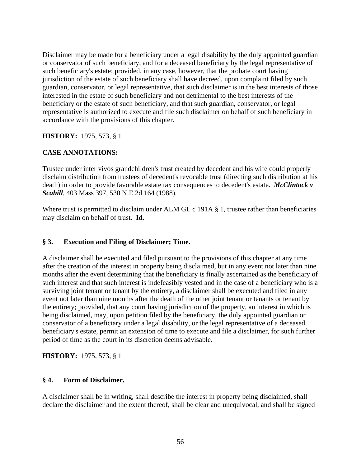Disclaimer may be made for a beneficiary under a legal disability by the duly appointed guardian or conservator of such beneficiary, and for a deceased beneficiary by the legal representative of such beneficiary's estate; provided, in any case, however, that the probate court having jurisdiction of the estate of such beneficiary shall have decreed, upon complaint filed by such guardian, conservator, or legal representative, that such disclaimer is in the best interests of those interested in the estate of such beneficiary and not detrimental to the best interests of the beneficiary or the estate of such beneficiary, and that such guardian, conservator, or legal representative is authorized to execute and file such disclaimer on behalf of such beneficiary in accordance with the provisions of this chapter.

## **HISTORY:** 1975, 573, § 1

## **CASE ANNOTATIONS:**

Trustee under inter vivos grandchildren's trust created by decedent and his wife could properly disclaim distribution from trustees of decedent's revocable trust (directing such distribution at his death) in order to provide favorable estate tax consequences to decedent's estate*. McClintock v Scahill*, 403 Mass 397, 530 N.E.2d 164 (1988).

Where trust is permitted to disclaim under ALM GL c 191A § 1, trustee rather than beneficiaries may disclaim on behalf of trust. **Id.**

## **§ 3. Execution and Filing of Disclaimer; Time.**

A disclaimer shall be executed and filed pursuant to the provisions of this chapter at any time after the creation of the interest in property being disclaimed, but in any event not later than nine months after the event determining that the beneficiary is finally ascertained as the beneficiary of such interest and that such interest is indefeasibly vested and in the case of a beneficiary who is a surviving joint tenant or tenant by the entirety, a disclaimer shall be executed and filed in any event not later than nine months after the death of the other joint tenant or tenants or tenant by the entirety; provided, that any court having jurisdiction of the property, an interest in which is being disclaimed, may, upon petition filed by the beneficiary, the duly appointed guardian or conservator of a beneficiary under a legal disability, or the legal representative of a deceased beneficiary's estate, permit an extension of time to execute and file a disclaimer, for such further period of time as the court in its discretion deems advisable.

**HISTORY:** 1975, 573, § 1

## **§ 4. Form of Disclaimer.**

A disclaimer shall be in writing, shall describe the interest in property being disclaimed, shall declare the disclaimer and the extent thereof, shall be clear and unequivocal, and shall be signed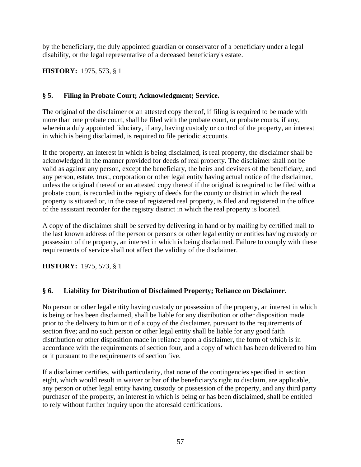by the beneficiary, the duly appointed guardian or conservator of a beneficiary under a legal disability, or the legal representative of a deceased beneficiary's estate.

**HISTORY:** 1975, 573, § 1

## **§ 5. Filing in Probate Court; Acknowledgment; Service.**

The original of the disclaimer or an attested copy thereof, if filing is required to be made with more than one probate court, shall be filed with the probate court, or probate courts, if any, wherein a duly appointed fiduciary, if any, having custody or control of the property, an interest in which is being disclaimed, is required to file periodic accounts.

If the property, an interest in which is being disclaimed, is real property, the disclaimer shall be acknowledged in the manner provided for deeds of real property. The disclaimer shall not be valid as against any person, except the beneficiary, the heirs and devisees of the beneficiary, and any person, estate, trust, corporation or other legal entity having actual notice of the disclaimer, unless the original thereof or an attested copy thereof if the original is required to be filed with a probate court, is recorded in the registry of deeds for the county or district in which the real property is situated or, in the case of registered real property, is filed and registered in the office of the assistant recorder for the registry district in which the real property is located.

A copy of the disclaimer shall be served by delivering in hand or by mailing by certified mail to the last known address of the person or persons or other legal entity or entities having custody or possession of the property, an interest in which is being disclaimed. Failure to comply with these requirements of service shall not affect the validity of the disclaimer.

**HISTORY:** 1975, 573, § 1

## **§ 6. Liability for Distribution of Disclaimed Property; Reliance on Disclaimer.**

No person or other legal entity having custody or possession of the property, an interest in which is being or has been disclaimed, shall be liable for any distribution or other disposition made prior to the delivery to him or it of a copy of the disclaimer, pursuant to the requirements of section five; and no such person or other legal entity shall be liable for any good faith distribution or other disposition made in reliance upon a disclaimer, the form of which is in accordance with the requirements of section four, and a copy of which has been delivered to him or it pursuant to the requirements of section five.

If a disclaimer certifies, with particularity, that none of the contingencies specified in section eight, which would result in waiver or bar of the beneficiary's right to disclaim, are applicable, any person or other legal entity having custody or possession of the property, and any third party purchaser of the property, an interest in which is being or has been disclaimed, shall be entitled to rely without further inquiry upon the aforesaid certifications.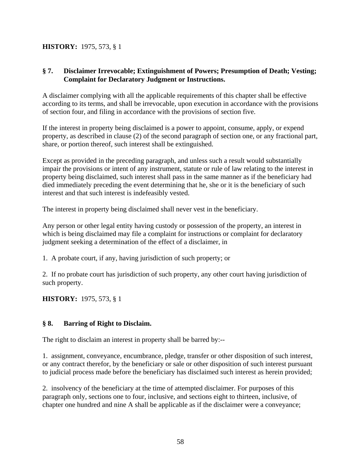## **HISTORY:** 1975, 573, § 1

## **§ 7. Disclaimer Irrevocable; Extinguishment of Powers; Presumption of Death; Vesting; Complaint for Declaratory Judgment or Instructions.**

A disclaimer complying with all the applicable requirements of this chapter shall be effective according to its terms, and shall be irrevocable, upon execution in accordance with the provisions of section four, and filing in accordance with the provisions of section five.

If the interest in property being disclaimed is a power to appoint, consume, apply, or expend property, as described in clause (2) of the second paragraph of section one, or any fractional part, share, or portion thereof, such interest shall be extinguished.

Except as provided in the preceding paragraph, and unless such a result would substantially impair the provisions or intent of any instrument, statute or rule of law relating to the interest in property being disclaimed, such interest shall pass in the same manner as if the beneficiary had died immediately preceding the event determining that he, she or it is the beneficiary of such interest and that such interest is indefeasibly vested.

The interest in property being disclaimed shall never vest in the beneficiary.

Any person or other legal entity having custody or possession of the property, an interest in which is being disclaimed may file a complaint for instructions or complaint for declaratory judgment seeking a determination of the effect of a disclaimer, in

1. A probate court, if any, having jurisdiction of such property; or

2. If no probate court has jurisdiction of such property, any other court having jurisdiction of such property.

**HISTORY:** 1975, 573, § 1

## **§ 8. Barring of Right to Disclaim.**

The right to disclaim an interest in property shall be barred by:--

1. assignment, conveyance, encumbrance, pledge, transfer or other disposition of such interest, or any contract therefor, by the beneficiary or sale or other disposition of such interest pursuant to judicial process made before the beneficiary has disclaimed such interest as herein provided;

2. insolvency of the beneficiary at the time of attempted disclaimer. For purposes of this paragraph only, sections one to four, inclusive, and sections eight to thirteen, inclusive, of chapter one hundred and nine A shall be applicable as if the disclaimer were a conveyance;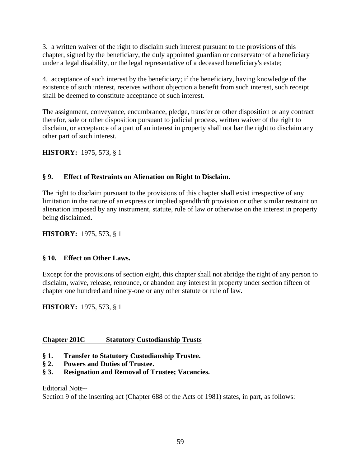3. a written waiver of the right to disclaim such interest pursuant to the provisions of this chapter, signed by the beneficiary, the duly appointed guardian or conservator of a beneficiary under a legal disability, or the legal representative of a deceased beneficiary's estate;

4. acceptance of such interest by the beneficiary; if the beneficiary, having knowledge of the existence of such interest, receives without objection a benefit from such interest, such receipt shall be deemed to constitute acceptance of such interest.

The assignment, conveyance, encumbrance, pledge, transfer or other disposition or any contract therefor, sale or other disposition pursuant to judicial process, written waiver of the right to disclaim, or acceptance of a part of an interest in property shall not bar the right to disclaim any other part of such interest.

**HISTORY:** 1975, 573, § 1

## **§ 9. Effect of Restraints on Alienation on Right to Disclaim.**

The right to disclaim pursuant to the provisions of this chapter shall exist irrespective of any limitation in the nature of an express or implied spendthrift provision or other similar restraint on alienation imposed by any instrument, statute, rule of law or otherwise on the interest in property being disclaimed.

**HISTORY:** 1975, 573, § 1

## **§ 10. Effect on Other Laws.**

Except for the provisions of section eight, this chapter shall not abridge the right of any person to disclaim, waive, release, renounce, or abandon any interest in property under section fifteen of chapter one hundred and ninety-one or any other statute or rule of law.

**HISTORY:** 1975, 573, § 1

## **Chapter 201C Statutory Custodianship Trusts**

- **§ 1. Transfer to Statutory Custodianship Trustee.**
- **§ 2. Powers and Duties of Trustee.**
- **§ 3. Resignation and Removal of Trustee; Vacancies.**

## Editorial Note--

Section 9 of the inserting act (Chapter 688 of the Acts of 1981) states, in part, as follows: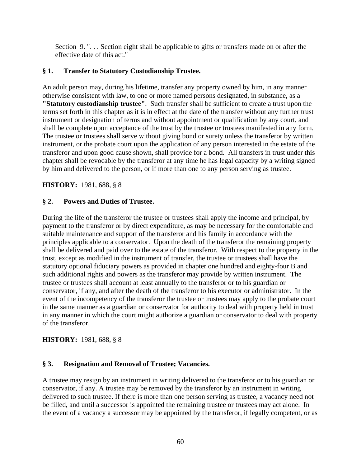Section 9. ". . . Section eight shall be applicable to gifts or transfers made on or after the effective date of this act."

#### **§ 1. Transfer to Statutory Custodianship Trustee.**

An adult person may, during his lifetime, transfer any property owned by him, in any manner otherwise consistent with law, to one or more named persons designated, in substance, as a **"Statutory custodianship trustee"**. Such transfer shall be sufficient to create a trust upon the terms set forth in this chapter as it is in effect at the date of the transfer without any further trust instrument or designation of terms and without appointment or qualification by any court, and shall be complete upon acceptance of the trust by the trustee or trustees manifested in any form. The trustee or trustees shall serve without giving bond or surety unless the transferor by written instrument, or the probate court upon the application of any person interested in the estate of the transferor and upon good cause shown, shall provide for a bond. All transfers in trust under this chapter shall be revocable by the transferor at any time he has legal capacity by a writing signed by him and delivered to the person, or if more than one to any person serving as trustee.

**HISTORY:** 1981, 688, § 8

#### **§ 2. Powers and Duties of Trustee.**

During the life of the transferor the trustee or trustees shall apply the income and principal, by payment to the transferor or by direct expenditure, as may be necessary for the comfortable and suitable maintenance and support of the transferor and his family in accordance with the principles applicable to a conservator. Upon the death of the transferor the remaining property shall be delivered and paid over to the estate of the transferor. With respect to the property in the trust, except as modified in the instrument of transfer, the trustee or trustees shall have the statutory optional fiduciary powers as provided in chapter one hundred and eighty-four B and such additional rights and powers as the transferor may provide by written instrument. The trustee or trustees shall account at least annually to the transferor or to his guardian or conservator, if any, and after the death of the transferor to his executor or administrator. In the event of the incompetency of the transferor the trustee or trustees may apply to the probate court in the same manner as a guardian or conservator for authority to deal with property held in trust in any manner in which the court might authorize a guardian or conservator to deal with property of the transferor.

#### **HISTORY:** 1981, 688, § 8

#### **§ 3. Resignation and Removal of Trustee; Vacancies.**

A trustee may resign by an instrument in writing delivered to the transferor or to his guardian or conservator, if any. A trustee may be removed by the transferor by an instrument in writing delivered to such trustee. If there is more than one person serving as trustee, a vacancy need not be filled, and until a successor is appointed the remaining trustee or trustees may act alone. In the event of a vacancy a successor may be appointed by the transferor, if legally competent, or as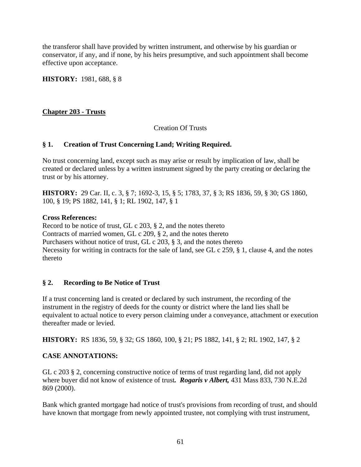the transferor shall have provided by written instrument, and otherwise by his guardian or conservator, if any, and if none, by his heirs presumptive, and such appointment shall become effective upon acceptance.

**HISTORY:** 1981, 688, § 8

## **Chapter 203 - Trusts**

## Creation Of Trusts

## **§ 1. Creation of Trust Concerning Land; Writing Required.**

No trust concerning land, except such as may arise or result by implication of law, shall be created or declared unless by a written instrument signed by the party creating or declaring the trust or by his attorney.

**HISTORY:** 29 Car. II, c. 3, § 7; 1692-3, 15, § 5; 1783, 37, § 3; RS 1836, 59, § 30; GS 1860, 100, § 19; PS 1882, 141, § 1; RL 1902, 147, § 1

#### **Cross References:**

Record to be notice of trust, GL c 203, § 2, and the notes thereto Contracts of married women, GL c 209, § 2, and the notes thereto Purchasers without notice of trust, GL c 203, § 3, and the notes thereto Necessity for writing in contracts for the sale of land, see GL c 259, § 1, clause 4, and the notes thereto

## **§ 2. Recording to Be Notice of Trust**

If a trust concerning land is created or declared by such instrument, the recording of the instrument in the registry of deeds for the county or district where the land lies shall be equivalent to actual notice to every person claiming under a conveyance, attachment or execution thereafter made or levied.

**HISTORY:** RS 1836, 59, § 32; GS 1860, 100, § 21; PS 1882, 141, § 2; RL 1902, 147, § 2

## **CASE ANNOTATIONS:**

GL c 203 § 2, concerning constructive notice of terms of trust regarding land, did not apply where buyer did not know of existence of trust*. Rogaris v Albert,* 431 Mass 833, 730 N.E.2d 869 (2000).

Bank which granted mortgage had notice of trust's provisions from recording of trust, and should have known that mortgage from newly appointed trustee, not complying with trust instrument,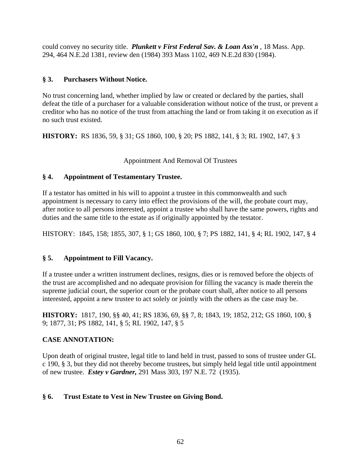could convey no security title. *Plunkett v First Federal Sav. & Loan Ass'n* , 18 Mass. App. 294, 464 N.E.2d 1381, review den (1984) 393 Mass 1102, 469 N.E.2d 830 (1984).

## **§ 3. Purchasers Without Notice.**

No trust concerning land, whether implied by law or created or declared by the parties, shall defeat the title of a purchaser for a valuable consideration without notice of the trust, or prevent a creditor who has no notice of the trust from attaching the land or from taking it on execution as if no such trust existed.

**HISTORY:** RS 1836, 59, § 31; GS 1860, 100, § 20; PS 1882, 141, § 3; RL 1902, 147, § 3

## Appointment And Removal Of Trustees

## **§ 4. Appointment of Testamentary Trustee.**

If a testator has omitted in his will to appoint a trustee in this commonwealth and such appointment is necessary to carry into effect the provisions of the will, the probate court may, after notice to all persons interested, appoint a trustee who shall have the same powers, rights and duties and the same title to the estate as if originally appointed by the testator.

HISTORY: 1845, 158; 1855, 307, § 1; GS 1860, 100, § 7; PS 1882, 141, § 4; RL 1902, 147, § 4

## **§ 5. Appointment to Fill Vacancy.**

If a trustee under a written instrument declines, resigns, dies or is removed before the objects of the trust are accomplished and no adequate provision for filling the vacancy is made therein the supreme judicial court, the superior court or the probate court shall, after notice to all persons interested, appoint a new trustee to act solely or jointly with the others as the case may be.

**HISTORY:** 1817, 190, §§ 40, 41; RS 1836, 69, §§ 7, 8; 1843, 19; 1852, 212; GS 1860, 100, § 9; 1877, 31; PS 1882, 141, § 5; RL 1902, 147, § 5

## **CASE ANNOTATION:**

Upon death of original trustee, legal title to land held in trust, passed to sons of trustee under GL c 190, § 3, but they did not thereby become trustees, but simply held legal title until appointment of new trustee. *Estey v Gardner,* 291 Mass 303, 197 N.E. 72 (1935).

## **§ 6. Trust Estate to Vest in New Trustee on Giving Bond.**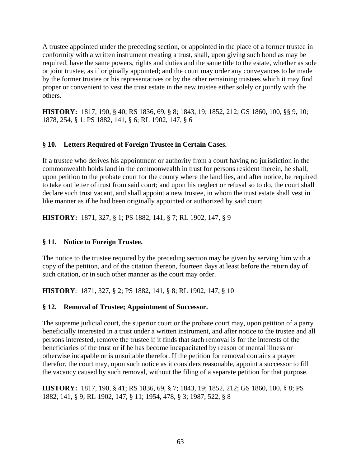A trustee appointed under the preceding section, or appointed in the place of a former trustee in conformity with a written instrument creating a trust, shall, upon giving such bond as may be required, have the same powers, rights and duties and the same title to the estate, whether as sole or joint trustee, as if originally appointed; and the court may order any conveyances to be made by the former trustee or his representatives or by the other remaining trustees which it may find proper or convenient to vest the trust estate in the new trustee either solely or jointly with the others.

**HISTORY:** 1817, 190, § 40; RS 1836, 69, § 8; 1843, 19; 1852, 212; GS 1860, 100, §§ 9, 10; 1878, 254, § 1; PS 1882, 141, § 6; RL 1902, 147, § 6

## **§ 10. Letters Required of Foreign Trustee in Certain Cases.**

If a trustee who derives his appointment or authority from a court having no jurisdiction in the commonwealth holds land in the commonwealth in trust for persons resident therein, he shall, upon petition to the probate court for the county where the land lies, and after notice, be required to take out letter of trust from said court; and upon his neglect or refusal so to do, the court shall declare such trust vacant, and shall appoint a new trustee, in whom the trust estate shall vest in like manner as if he had been originally appointed or authorized by said court.

**HISTORY:** 1871, 327, § 1; PS 1882, 141, § 7; RL 1902, 147, § 9

## **§ 11. Notice to Foreign Trustee.**

The notice to the trustee required by the preceding section may be given by serving him with a copy of the petition, and of the citation thereon, fourteen days at least before the return day of such citation, or in such other manner as the court may order.

**HISTORY**: 1871, 327, § 2; PS 1882, 141, § 8; RL 1902, 147, § 10

## **§ 12. Removal of Trustee; Appointment of Successor.**

The supreme judicial court, the superior court or the probate court may, upon petition of a party beneficially interested in a trust under a written instrument, and after notice to the trustee and all persons interested, remove the trustee if it finds that such removal is for the interests of the beneficiaries of the trust or if he has become incapacitated by reason of mental illness or otherwise incapable or is unsuitable therefor. If the petition for removal contains a prayer therefor, the court may, upon such notice as it considers reasonable, appoint a successor to fill the vacancy caused by such removal, without the filing of a separate petition for that purpose.

**HISTORY:** 1817, 190, § 41; RS 1836, 69, § 7; 1843, 19; 1852, 212; GS 1860, 100, § 8; PS 1882, 141, § 9; RL 1902, 147, § 11; 1954, 478, § 3; 1987, 522, § 8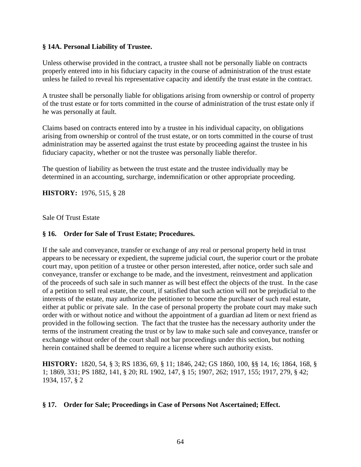#### **§ 14A. Personal Liability of Trustee.**

Unless otherwise provided in the contract, a trustee shall not be personally liable on contracts properly entered into in his fiduciary capacity in the course of administration of the trust estate unless he failed to reveal his representative capacity and identify the trust estate in the contract.

A trustee shall be personally liable for obligations arising from ownership or control of property of the trust estate or for torts committed in the course of administration of the trust estate only if he was personally at fault.

Claims based on contracts entered into by a trustee in his individual capacity, on obligations arising from ownership or control of the trust estate, or on torts committed in the course of trust administration may be asserted against the trust estate by proceeding against the trustee in his fiduciary capacity, whether or not the trustee was personally liable therefor.

The question of liability as between the trust estate and the trustee individually may be determined in an accounting, surcharge, indemnification or other appropriate proceeding.

**HISTORY:** 1976, 515, § 28

Sale Of Trust Estate

#### **§ 16. Order for Sale of Trust Estate; Procedures.**

If the sale and conveyance, transfer or exchange of any real or personal property held in trust appears to be necessary or expedient, the supreme judicial court, the superior court or the probate court may, upon petition of a trustee or other person interested, after notice, order such sale and conveyance, transfer or exchange to be made, and the investment, reinvestment and application of the proceeds of such sale in such manner as will best effect the objects of the trust. In the case of a petition to sell real estate, the court, if satisfied that such action will not be prejudicial to the interests of the estate, may authorize the petitioner to become the purchaser of such real estate, either at public or private sale. In the case of personal property the probate court may make such order with or without notice and without the appointment of a guardian ad litem or next friend as provided in the following section. The fact that the trustee has the necessary authority under the terms of the instrument creating the trust or by law to make such sale and conveyance, transfer or exchange without order of the court shall not bar proceedings under this section, but nothing herein contained shall be deemed to require a license where such authority exists.

**HISTORY:** 1820, 54, § 3; RS 1836, 69, § 11; 1846, 242; GS 1860, 100, §§ 14, 16; 1864, 168, § 1; 1869, 331; PS 1882, 141, § 20; RL 1902, 147, § 15; 1907, 262; 1917, 155; 1917, 279, § 42; 1934, 157, § 2

#### **§ 17. Order for Sale; Proceedings in Case of Persons Not Ascertained; Effect.**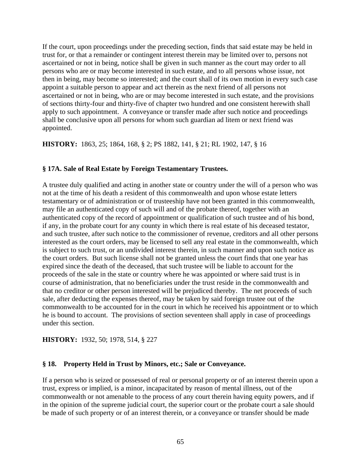If the court, upon proceedings under the preceding section, finds that said estate may be held in trust for, or that a remainder or contingent interest therein may be limited over to, persons not ascertained or not in being, notice shall be given in such manner as the court may order to all persons who are or may become interested in such estate, and to all persons whose issue, not then in being, may become so interested; and the court shall of its own motion in every such case appoint a suitable person to appear and act therein as the next friend of all persons not ascertained or not in being, who are or may become interested in such estate, and the provisions of sections thirty-four and thirty-five of chapter two hundred and one consistent herewith shall apply to such appointment. A conveyance or transfer made after such notice and proceedings shall be conclusive upon all persons for whom such guardian ad litem or next friend was appointed.

**HISTORY:** 1863, 25; 1864, 168, § 2; PS 1882, 141, § 21; RL 1902, 147, § 16

#### **§ 17A. Sale of Real Estate by Foreign Testamentary Trustees.**

A trustee duly qualified and acting in another state or country under the will of a person who was not at the time of his death a resident of this commonwealth and upon whose estate letters testamentary or of administration or of trusteeship have not been granted in this commonwealth, may file an authenticated copy of such will and of the probate thereof, together with an authenticated copy of the record of appointment or qualification of such trustee and of his bond, if any, in the probate court for any county in which there is real estate of his deceased testator, and such trustee, after such notice to the commissioner of revenue, creditors and all other persons interested as the court orders, may be licensed to sell any real estate in the commonwealth, which is subject to such trust, or an undivided interest therein, in such manner and upon such notice as the court orders. But such license shall not be granted unless the court finds that one year has expired since the death of the deceased, that such trustee will be liable to account for the proceeds of the sale in the state or country where he was appointed or where said trust is in course of administration, that no beneficiaries under the trust reside in the commonwealth and that no creditor or other person interested will be prejudiced thereby. The net proceeds of such sale, after deducting the expenses thereof, may be taken by said foreign trustee out of the commonwealth to be accounted for in the court in which he received his appointment or to which he is bound to account. The provisions of section seventeen shall apply in case of proceedings under this section.

#### **HISTORY:** 1932, 50; 1978, 514, § 227

#### **§ 18. Property Held in Trust by Minors, etc.; Sale or Conveyance.**

If a person who is seized or possessed of real or personal property or of an interest therein upon a trust, express or implied, is a minor, incapacitated by reason of mental illness, out of the commonwealth or not amenable to the process of any court therein having equity powers, and if in the opinion of the supreme judicial court, the superior court or the probate court a sale should be made of such property or of an interest therein, or a conveyance or transfer should be made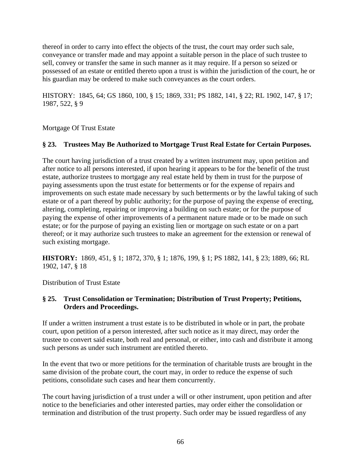thereof in order to carry into effect the objects of the trust, the court may order such sale, conveyance or transfer made and may appoint a suitable person in the place of such trustee to sell, convey or transfer the same in such manner as it may require. If a person so seized or possessed of an estate or entitled thereto upon a trust is within the jurisdiction of the court, he or his guardian may be ordered to make such conveyances as the court orders.

HISTORY: 1845, 64; GS 1860, 100, § 15; 1869, 331; PS 1882, 141, § 22; RL 1902, 147, § 17; 1987, 522, § 9

Mortgage Of Trust Estate

## **§ 23. Trustees May Be Authorized to Mortgage Trust Real Estate for Certain Purposes.**

The court having jurisdiction of a trust created by a written instrument may, upon petition and after notice to all persons interested, if upon hearing it appears to be for the benefit of the trust estate, authorize trustees to mortgage any real estate held by them in trust for the purpose of paying assessments upon the trust estate for betterments or for the expense of repairs and improvements on such estate made necessary by such betterments or by the lawful taking of such estate or of a part thereof by public authority; for the purpose of paying the expense of erecting, altering, completing, repairing or improving a building on such estate; or for the purpose of paying the expense of other improvements of a permanent nature made or to be made on such estate; or for the purpose of paying an existing lien or mortgage on such estate or on a part thereof; or it may authorize such trustees to make an agreement for the extension or renewal of such existing mortgage.

**HISTORY:** 1869, 451, § 1; 1872, 370, § 1; 1876, 199, § 1; PS 1882, 141, § 23; 1889, 66; RL 1902, 147, § 18

Distribution of Trust Estate

## **§ 25. Trust Consolidation or Termination; Distribution of Trust Property; Petitions, Orders and Proceedings.**

If under a written instrument a trust estate is to be distributed in whole or in part, the probate court, upon petition of a person interested, after such notice as it may direct, may order the trustee to convert said estate, both real and personal, or either, into cash and distribute it among such persons as under such instrument are entitled thereto.

In the event that two or more petitions for the termination of charitable trusts are brought in the same division of the probate court, the court may, in order to reduce the expense of such petitions, consolidate such cases and hear them concurrently.

The court having jurisdiction of a trust under a will or other instrument, upon petition and after notice to the beneficiaries and other interested parties, may order either the consolidation or termination and distribution of the trust property. Such order may be issued regardless of any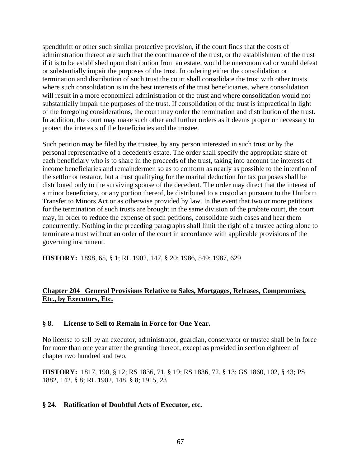spendthrift or other such similar protective provision, if the court finds that the costs of administration thereof are such that the continuance of the trust, or the establishment of the trust if it is to be established upon distribution from an estate, would be uneconomical or would defeat or substantially impair the purposes of the trust. In ordering either the consolidation or termination and distribution of such trust the court shall consolidate the trust with other trusts where such consolidation is in the best interests of the trust beneficiaries, where consolidation will result in a more economical administration of the trust and where consolidation would not substantially impair the purposes of the trust. If consolidation of the trust is impractical in light of the foregoing considerations, the court may order the termination and distribution of the trust. In addition, the court may make such other and further orders as it deems proper or necessary to protect the interests of the beneficiaries and the trustee.

Such petition may be filed by the trustee, by any person interested in such trust or by the personal representative of a decedent's estate. The order shall specify the appropriate share of each beneficiary who is to share in the proceeds of the trust, taking into account the interests of income beneficiaries and remaindermen so as to conform as nearly as possible to the intention of the settlor or testator, but a trust qualifying for the marital deduction for tax purposes shall be distributed only to the surviving spouse of the decedent. The order may direct that the interest of a minor beneficiary, or any portion thereof, be distributed to a custodian pursuant to the Uniform Transfer to Minors Act or as otherwise provided by law. In the event that two or more petitions for the termination of such trusts are brought in the same division of the probate court, the court may, in order to reduce the expense of such petitions, consolidate such cases and hear them concurrently. Nothing in the preceding paragraphs shall limit the right of a trustee acting alone to terminate a trust without an order of the court in accordance with applicable provisions of the governing instrument.

**HISTORY:** 1898, 65, § 1; RL 1902, 147, § 20; 1986, 549; 1987, 629

## **Chapter 204 General Provisions Relative to Sales, Mortgages, Releases, Compromises, Etc., by Executors, Etc.**

## **§ 8. License to Sell to Remain in Force for One Year.**

No license to sell by an executor, administrator, guardian, conservator or trustee shall be in force for more than one year after the granting thereof, except as provided in section eighteen of chapter two hundred and two.

**HISTORY:** 1817, 190, § 12; RS 1836, 71, § 19; RS 1836, 72, § 13; GS 1860, 102, § 43; PS 1882, 142, § 8; RL 1902, 148, § 8; 1915, 23

## **§ 24. Ratification of Doubtful Acts of Executor, etc.**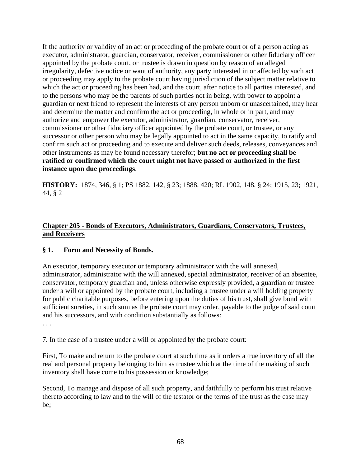If the authority or validity of an act or proceeding of the probate court or of a person acting as executor, administrator, guardian, conservator, receiver, commissioner or other fiduciary officer appointed by the probate court, or trustee is drawn in question by reason of an alleged irregularity, defective notice or want of authority, any party interested in or affected by such act or proceeding may apply to the probate court having jurisdiction of the subject matter relative to which the act or proceeding has been had, and the court, after notice to all parties interested, and to the persons who may be the parents of such parties not in being, with power to appoint a guardian or next friend to represent the interests of any person unborn or unascertained, may hear and determine the matter and confirm the act or proceeding, in whole or in part, and may authorize and empower the executor, administrator, guardian, conservator, receiver, commissioner or other fiduciary officer appointed by the probate court, or trustee, or any successor or other person who may be legally appointed to act in the same capacity, to ratify and confirm such act or proceeding and to execute and deliver such deeds, releases, conveyances and other instruments as may be found necessary therefor; **but no act or proceeding shall be ratified or confirmed which the court might not have passed or authorized in the first instance upon due proceedings**.

**HISTORY:** 1874, 346, § 1; PS 1882, 142, § 23; 1888, 420; RL 1902, 148, § 24; 1915, 23; 1921, 44, § 2

## **Chapter 205 - Bonds of Executors, Administrators, Guardians, Conservators, Trustees, and Receivers**

## **§ 1. Form and Necessity of Bonds.**

An executor, temporary executor or temporary administrator with the will annexed, administrator, administrator with the will annexed, special administrator, receiver of an absentee, conservator, temporary guardian and, unless otherwise expressly provided, a guardian or trustee under a will or appointed by the probate court, including a trustee under a will holding property for public charitable purposes, before entering upon the duties of his trust, shall give bond with sufficient sureties, in such sum as the probate court may order, payable to the judge of said court and his successors, and with condition substantially as follows:

. . .

7. In the case of a trustee under a will or appointed by the probate court:

First, To make and return to the probate court at such time as it orders a true inventory of all the real and personal property belonging to him as trustee which at the time of the making of such inventory shall have come to his possession or knowledge;

Second, To manage and dispose of all such property, and faithfully to perform his trust relative thereto according to law and to the will of the testator or the terms of the trust as the case may be;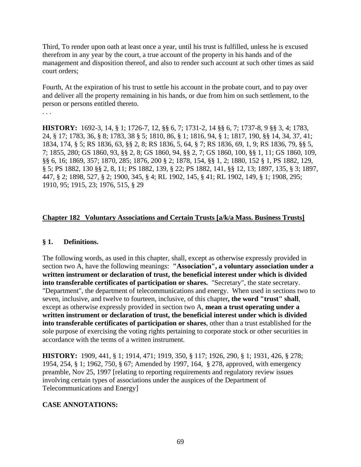Third, To render upon oath at least once a year, until his trust is fulfilled, unless he is excused therefrom in any year by the court, a true account of the property in his hands and of the management and disposition thereof, and also to render such account at such other times as said court orders;

Fourth, At the expiration of his trust to settle his account in the probate court, and to pay over and deliver all the property remaining in his hands, or due from him on such settlement, to the person or persons entitled thereto.

. . .

**HISTORY:** 1692-3, 14, § 1; 1726-7, 12, §§ 6, 7; 1731-2, 14 §§ 6, 7; 1737-8, 9 §§ 3, 4; 1783, 24, § 17; 1783, 36, § 8; 1783, 38 § 5; 1810, 86, § 1; 1816, 94, § 1; 1817, 190, §§ 14, 34, 37, 41; 1834, 174, § 5; RS 1836, 63, §§ 2, 8; RS 1836, 5, 64, § 7; RS 1836, 69, 1, 9; RS 1836, 79, §§ 5, 7; 1855, 280; GS 1860, 93, §§ 2, 8; GS 1860, 94, §§ 2, 7; GS 1860, 100, §§ 1, 11; GS 1860, 109, §§ 6, 16; 1869, 357; 1870, 285; 1876, 200 § 2; 1878, 154, §§ 1, 2; 1880, 152 § 1, PS 1882, 129, § 5; PS 1882, 130 §§ 2, 8, 11; PS 1882, 139, § 22; PS 1882, 141, §§ 12, 13; 1897, 135, § 3; 1897, 447, § 2; 1898, 527, § 2; 1900, 345, § 4; RL 1902, 145, § 41; RL 1902, 149, § 1; 1908, 295; 1910, 95; 1915, 23; 1976, 515, § 29

## **Chapter 182 Voluntary Associations and Certain Trusts [a/k/a Mass. Business Trusts]**

## **§ 1. Definitions.**

The following words, as used in this chapter, shall, except as otherwise expressly provided in section two A, have the following meanings: **"Association", a voluntary association under a written instrument or declaration of trust, the beneficial interest under which is divided into transferable certificates of participation or shares.** "Secretary", the state secretary. "Department", the department of telecommunications and energy. When used in sections two to seven, inclusive, and twelve to fourteen, inclusive, of this chapter**, the word "trust" shall**, except as otherwise expressly provided in section two A, **mean a trust operating under a written instrument or declaration of trust, the beneficial interest under which is divided into transferable certificates of participation or shares**, other than a trust established for the sole purpose of exercising the voting rights pertaining to corporate stock or other securities in accordance with the terms of a written instrument.

**HISTORY:** 1909, 441, § 1; 1914, 471; 1919, 350, § 117; 1926, 290, § 1; 1931, 426, § 278; 1954, 254, § 1; 1962, 750, § 67; Amended by 1997, 164, § 278, approved, with emergency preamble, Nov 25, 1997 [relating to reporting requirements and regulatory review issues involving certain types of associations under the auspices of the Department of Telecommunications and Energy]

## **CASE ANNOTATIONS:**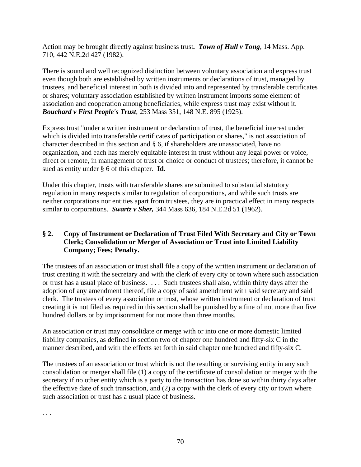Action may be brought directly against business trust*. Town of Hull v Tong*, 14 Mass. App. 710, 442 N.E.2d 427 (1982).

There is sound and well recognized distinction between voluntary association and express trust even though both are established by written instruments or declarations of trust, managed by trustees, and beneficial interest in both is divided into and represented by transferable certificates or shares; voluntary association established by written instrument imports some element of association and cooperation among beneficiaries, while express trust may exist without it. *Bouchard v First People's Trust*, 253 Mass 351, 148 N.E. 895 (1925).

Express trust "under a written instrument or declaration of trust, the beneficial interest under which is divided into transferable certificates of participation or shares," is not association of character described in this section and § 6, if shareholders are unassociated, have no organization, and each has merely equitable interest in trust without any legal power or voice, direct or remote, in management of trust or choice or conduct of trustees; therefore, it cannot be sued as entity under § 6 of this chapter. **Id.**

Under this chapter, trusts with transferable shares are submitted to substantial statutory regulation in many respects similar to regulation of corporations, and while such trusts are neither corporations nor entities apart from trustees, they are in practical effect in many respects similar to corporations. *Swartz v Sher,* 344 Mass 636, 184 N.E.2d 51 (1962).

## **§ 2. Copy of Instrument or Declaration of Trust Filed With Secretary and City or Town Clerk; Consolidation or Merger of Association or Trust into Limited Liability Company; Fees; Penalty.**

The trustees of an association or trust shall file a copy of the written instrument or declaration of trust creating it with the secretary and with the clerk of every city or town where such association or trust has a usual place of business. . . . Such trustees shall also, within thirty days after the adoption of any amendment thereof, file a copy of said amendment with said secretary and said clerk. The trustees of every association or trust, whose written instrument or declaration of trust creating it is not filed as required in this section shall be punished by a fine of not more than five hundred dollars or by imprisonment for not more than three months.

An association or trust may consolidate or merge with or into one or more domestic limited liability companies, as defined in section two of chapter one hundred and fifty-six C in the manner described, and with the effects set forth in said chapter one hundred and fifty-six C.

The trustees of an association or trust which is not the resulting or surviving entity in any such consolidation or merger shall file (1) a copy of the certificate of consolidation or merger with the secretary if no other entity which is a party to the transaction has done so within thirty days after the effective date of such transaction, and (2) a copy with the clerk of every city or town where such association or trust has a usual place of business.

. . .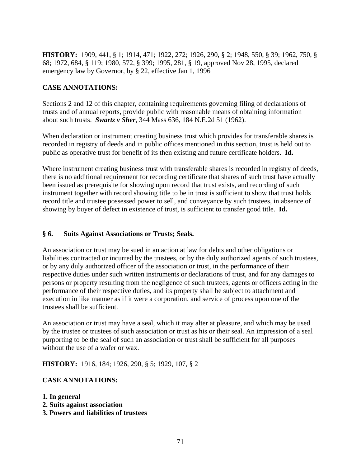**HISTORY:** 1909, 441, § 1; 1914, 471; 1922, 272; 1926, 290, § 2; 1948, 550, § 39; 1962, 750, § 68; 1972, 684, § 119; 1980, 572, § 399; 1995, 281, § 19, approved Nov 28, 1995, declared emergency law by Governor, by § 22, effective Jan 1, 1996

## **CASE ANNOTATIONS:**

Sections 2 and 12 of this chapter, containing requirements governing filing of declarations of trusts and of annual reports, provide public with reasonable means of obtaining information about such trusts. *Swartz v Sher*, 344 Mass 636, 184 N.E.2d 51 (1962).

When declaration or instrument creating business trust which provides for transferable shares is recorded in registry of deeds and in public offices mentioned in this section, trust is held out to public as operative trust for benefit of its then existing and future certificate holders. **Id.**

Where instrument creating business trust with transferable shares is recorded in registry of deeds, there is no additional requirement for recording certificate that shares of such trust have actually been issued as prerequisite for showing upon record that trust exists, and recording of such instrument together with record showing title to be in trust is sufficient to show that trust holds record title and trustee possessed power to sell, and conveyance by such trustees, in absence of showing by buyer of defect in existence of trust, is sufficient to transfer good title. **Id.**

#### **§ 6. Suits Against Associations or Trusts; Seals.**

An association or trust may be sued in an action at law for debts and other obligations or liabilities contracted or incurred by the trustees, or by the duly authorized agents of such trustees, or by any duly authorized officer of the association or trust, in the performance of their respective duties under such written instruments or declarations of trust, and for any damages to persons or property resulting from the negligence of such trustees, agents or officers acting in the performance of their respective duties, and its property shall be subject to attachment and execution in like manner as if it were a corporation, and service of process upon one of the trustees shall be sufficient.

An association or trust may have a seal, which it may alter at pleasure, and which may be used by the trustee or trustees of such association or trust as his or their seal. An impression of a seal purporting to be the seal of such an association or trust shall be sufficient for all purposes without the use of a wafer or wax.

#### **HISTORY:** 1916, 184; 1926, 290, § 5; 1929, 107, § 2

#### **CASE ANNOTATIONS:**

- **1. In general**
- **2. Suits against association**
- **3. Powers and liabilities of trustees**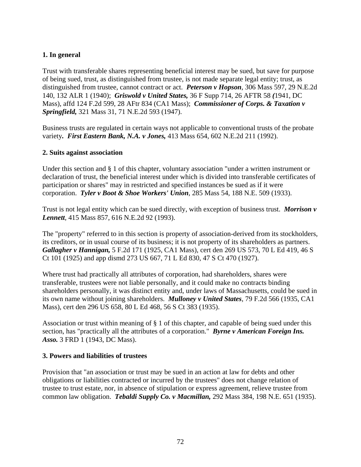## **1. In general**

Trust with transferable shares representing beneficial interest may be sued, but save for purpose of being sued, trust, as distinguished from trustee, is not made separate legal entity; trust, as distinguished from trustee, cannot contract or act. *Peterson v Hopson*, 306 Mass 597, 29 N.E.2d 140, 132 ALR 1 (1940); *Griswold v United States,* 36 F Supp 714, 26 AFTR 58 *(*1941, DC Mass), affd 124 F.2d 599, 28 AFtr 834 (CA1 Mass); *Commissioner of Corps. & Taxation v Springfield,* 321 Mass 31, 71 N.E.2d 593 (1947).

Business trusts are regulated in certain ways not applicable to conventional trusts of the probate variety*. First Eastern Bank, N.A. v Jones,* 413 Mass 654, 602 N.E.2d 211 (1992).

#### **2. Suits against association**

Under this section and § 1 of this chapter, voluntary association "under a written instrument or declaration of trust, the beneficial interest under which is divided into transferable certificates of participation or shares" may in restricted and specified instances be sued as if it were corporation. *Tyler v Boot & Shoe Workers' Union*, 285 Mass 54, 188 N.E. 509 (1933).

Trust is not legal entity which can be sued directly, with exception of business trust. *Morrison v Lennett*, 415 Mass 857, 616 N.E.2d 92 (1993).

The "property" referred to in this section is property of association-derived from its stockholders, its creditors, or in usual course of its business; it is not property of its shareholders as partners. *Gallagher v Hannigan,* 5 F.2d 171 (1925, CA1 Mass), cert den 269 US 573, 70 L Ed 419, 46 S Ct 101 (1925) and app dismd 273 US 667, 71 L Ed 830, 47 S Ct 470 (1927).

Where trust had practically all attributes of corporation, had shareholders, shares were transferable, trustees were not liable personally, and it could make no contracts binding shareholders personally, it was distinct entity and, under laws of Massachusetts, could be sued in its own name without joining shareholders. *Mulloney v United States*, 79 F.2d 566 (1935, CA1 Mass), cert den 296 US 658, 80 L Ed 468, 56 S Ct 383 (1935).

Association or trust within meaning of § 1 of this chapter, and capable of being sued under this section, has "practically all the attributes of a corporation." *Byrne v American Foreign Ins. Asso.* 3 FRD 1 (1943, DC Mass).

## **3. Powers and liabilities of trustees**

Provision that "an association or trust may be sued in an action at law for debts and other obligations or liabilities contracted or incurred by the trustees" does not change relation of trustee to trust estate, nor, in absence of stipulation or express agreement, relieve trustee from common law obligation. *Tebaldi Supply Co. v Macmillan,* 292 Mass 384, 198 N.E. 651 (1935).